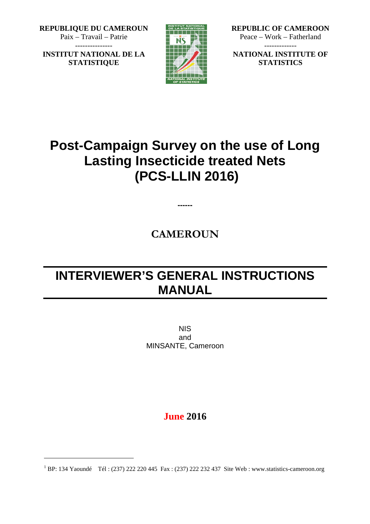**REPUBLIQUE DU CAMEROUN** Paix – Travail – Patrie

**INSTITUT NATIONAL DE LA STATISTIQUE**



**REPUBLIC OF CAMEROON** Peace – Work – Fatherland -------------

**NATIONAL INSTITUTE OF STATISTICS**

# **Post-Campaign Survey on the use of Long Lasting Insecticide treated Nets (PCS-LLIN 2016)**

# **CAMEROUN**

**------**

# **INTERVIEWER'S GENERAL INSTRUCTIONS MANUAL**

NIS and MINSANTE, Cameroon

# **June 2016**

<sup>&</sup>lt;sup>1</sup> BP: 134 Yaoundé Tél : (237) 222 220 445 Fax : (237) 222 232 437 Site Web : www.statistics-cameroon.org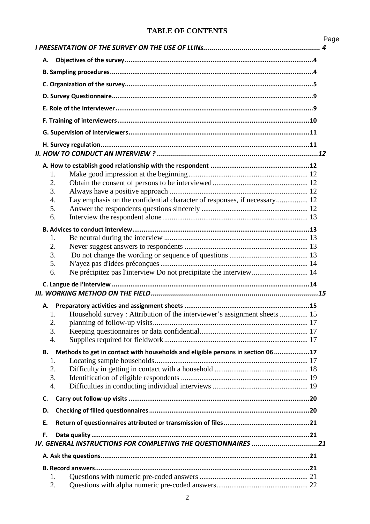# **TABLE OF CONTENTS**

|                                                                                              | Page |
|----------------------------------------------------------------------------------------------|------|
|                                                                                              |      |
| А.                                                                                           |      |
|                                                                                              |      |
|                                                                                              |      |
|                                                                                              |      |
|                                                                                              |      |
|                                                                                              |      |
|                                                                                              |      |
|                                                                                              |      |
|                                                                                              |      |
|                                                                                              |      |
| 1.                                                                                           |      |
| 2.                                                                                           |      |
| 3.                                                                                           |      |
| Lay emphasis on the confidential character of responses, if necessary 12<br>$\overline{4}$ . |      |
| 5.                                                                                           |      |
| 6.                                                                                           |      |
|                                                                                              |      |
|                                                                                              |      |
| 1.                                                                                           |      |
| 2.                                                                                           |      |
| 3.                                                                                           |      |
| 5.                                                                                           |      |
| Ne précipitez pas l'interview Do not precipitate the interview 14<br>6.                      |      |
|                                                                                              |      |
|                                                                                              |      |
|                                                                                              |      |
| А.                                                                                           |      |
| Household survey: Attribution of the interviewer's assignment sheets  15<br>1.               |      |
| 2.                                                                                           |      |
| 3.                                                                                           |      |
| $\overline{4}$ .                                                                             |      |
|                                                                                              |      |
| Methods to get in contact with households and eligible persons in section 06 17<br>В.        |      |
| 1.                                                                                           |      |
| 2.                                                                                           |      |
| 3.                                                                                           |      |
| $\overline{4}$ .                                                                             |      |
| C.                                                                                           |      |
| D.                                                                                           |      |
| Ε.                                                                                           |      |
|                                                                                              |      |
| F.                                                                                           |      |
| IV. GENERAL INSTRUCTIONS FOR COMPLETING THE QUESTIONNAIRES 21                                |      |
|                                                                                              |      |
|                                                                                              |      |
| 1.                                                                                           |      |
| 2.                                                                                           |      |
|                                                                                              |      |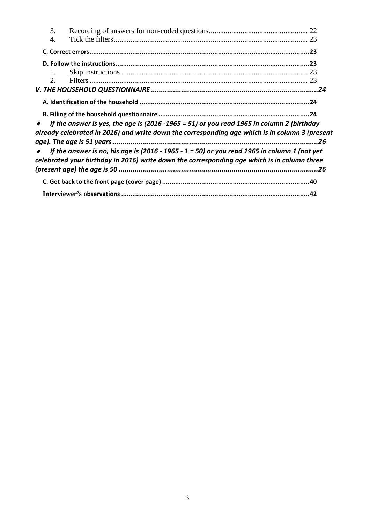| 3.          |                                                                                                |  |
|-------------|------------------------------------------------------------------------------------------------|--|
| 4.          |                                                                                                |  |
|             |                                                                                                |  |
|             |                                                                                                |  |
| 1.          |                                                                                                |  |
| $2^{\circ}$ |                                                                                                |  |
|             |                                                                                                |  |
|             |                                                                                                |  |
|             |                                                                                                |  |
|             | If the answer is yes, the age is (2016 -1965 = 51) or you read 1965 in column 2 (birthday      |  |
|             | already celebrated in 2016) and write down the corresponding age which is in column 3 (present |  |
|             |                                                                                                |  |
|             | If the answer is no, his age is (2016 - 1965 - 1 = 50) or you read 1965 in column 1 (not yet   |  |
|             | celebrated your birthday in 2016) write down the corresponding age which is in column three    |  |
|             |                                                                                                |  |
|             |                                                                                                |  |
|             |                                                                                                |  |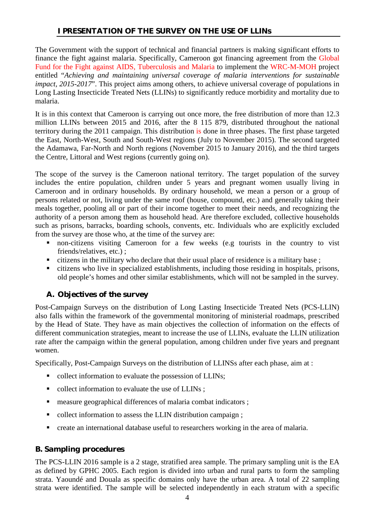# **I PRESENTATION OF THE SURVEY ON THE USE OF LLINs**

The Government with the support of technical and financial partners is making significant efforts to finance the fight against malaria. Specifically, Cameroon got financing agreement from the Global Fund for the Fight against AIDS, Tuberculosis and Malaria to implement the WRC-M-MOH project entitled "*Achieving and maintaining universal coverage of malaria interventions for sustainable impact, 2015-2017*". This project aims among others, to achieve universal coverage of populations in Long Lasting Insecticide Treated Nets (LLINs) to significantly reduce morbidity and mortality due to malaria.

It is in this context that Cameroon is carrying out once more, the free distribution of more than 12.3 million LLINs between 2015 and 2016, after the 8 115 879, distributed throughout the national territory during the 2011 campaign. This distribution is done in three phases. The first phase targeted the East, North-West, South and South-West regions (July to November 2015). The second targeted the Adamawa, Far-North and North regions (November 2015 to January 2016), and the third targets the Centre, Littoral and West regions (currently going on).

The scope of the survey is the Cameroon national territory. The target population of the survey includes the entire population, children under 5 years and pregnant women usually living in Cameroon and in ordinary households. By ordinary household, we mean a person or a group of persons related or not, living under the same roof (house, compound, etc.) and generally taking their meals together, pooling all or part of their income together to meet their needs, and recognizing the authority of a person among them as household head. Are therefore excluded, collective households such as prisons, barracks, boarding schools, convents, etc. Individuals who are explicitly excluded from the survey are those who, at the time of the survey are:

- non-citizens visiting Cameroon for a few weeks (e.g tourists in the country to vist friends/relatives, etc.) ;
- citizens in the military who declare that their usual place of residence is a military base;
- citizens who live in specialized establishments, including those residing in hospitals, prisons, old people's homes and other similar establishments, which will not be sampled in the survey.

# *A. Objectives of the survey*

Post-Campaign Surveys on the distribution of Long Lasting Insecticide Treated Nets (PCS-LLIN) also falls within the framework of the governmental monitoring of ministerial roadmaps, prescribed by the Head of State. They have as main objectives the collection of information on the effects of different communication strategies, meant to increase the use of LLINs, evaluate the LLIN utilization rate after the campaign within the general population, among children under five years and pregnant women.

Specifically, Post-Campaign Surveys on the distribution of LLINSs after each phase, aim at :

- collect information to evaluate the possession of LLINs;
- collect information to evaluate the use of LLINs ;
- measure geographical differences of malaria combat indicators ;
- collect information to assess the LLIN distribution campaign;
- create an international database useful to researchers working in the area of malaria.

# *B. Sampling procedures*

The PCS-LLIN 2016 sample is a 2 stage, stratified area sample. The primary sampling unit is the EA as defined by GPHC 2005. Each region is divided into urban and rural parts to form the sampling strata. Yaoundé and Douala as specific domains only have the urban area. A total of 22 sampling strata were identified. The sample will be selected independently in each stratum with a specific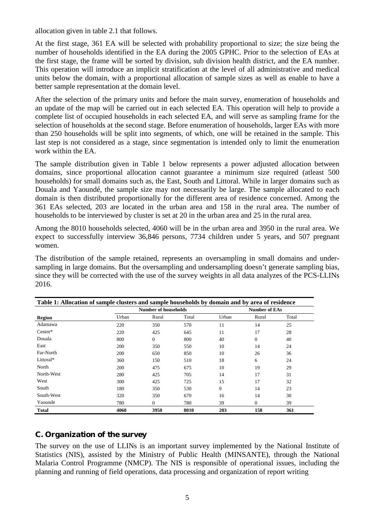allocation given in table 2.1 that follows.

At the first stage, 361 EA will be selected with probability proportional to size; the size being the number of households identified in the EA during the 2005 GPHC. Prior to the selection of EAs at the first stage, the frame will be sorted by division, sub division health district, and the EA number. This operation will introduce an implicit stratification at the level of all administrative and medical units below the domain, with a proportional allocation of sample sizes as well as enable to have a better sample representation at the domain level.

After the selection of the primary units and before the main survey, enumeration of households and an update of the map will be carried out in each selected EA. This operation will help to provide a complete list of occupied households in each selected EA, and will serve as sampling frame for the selection of households at the second stage. Before enumeration of households, larger EAs with more than 250 households will be split into segments, of which, one will be retained in the sample. This last step is not considered as a stage, since segmentation is intended only to limit the enumeration work within the EA.

The sample distribution given in Table 1 below represents a power adjusted allocation between domains, since proportional allocation cannot guarantee a minimum size required (atleast 500 households) for small domains such as, the East, South and Littoral. While in larger domains such as Douala and Yaoundé, the sample size may not necessarily be large. The sample allocated to each domain is then distributed proportionally for the different area of residence concerned. Among the 361 EAs selected, 203 are located in the urban area and 158 in the rural area. The number of households to be interviewed by cluster is set at 20 in the urban area and 25 in the rural area.

Among the 8010 households selected, 4060 will be in the urban area and 3950 in the rural area. We expect to successfully interview 36,846 persons, 7734 children under 5 years, and 507 pregnant women.

The distribution of the sample retained, represents an oversampling in small domains and undersampling in large domains. But the oversampling and undersampling doesn't generate sampling bias, since they will be corrected with the use of the survey weights in all data analyzes of the PCS-LLINs 2016.

| Table 1: Allocation of sample clusters and sample households by domain and by area of residence |                             |                |                      |       |          |       |
|-------------------------------------------------------------------------------------------------|-----------------------------|----------------|----------------------|-------|----------|-------|
|                                                                                                 | <b>Number of households</b> |                | <b>Number of EAs</b> |       |          |       |
| Region                                                                                          | Urban                       | Rural          | Total                | Urban | Rural    | Total |
| Adamawa                                                                                         | 220                         | 350            | 570                  | 11    | 14       | 25    |
| Centre*                                                                                         | 220                         | 425            | 645                  | 11    | 17       | 28    |
| Douala                                                                                          | 800                         | $\overline{0}$ | 800                  | 40    | $\Omega$ | 40    |
| East                                                                                            | 200                         | 350            | 550                  | 10    | 14       | 24    |
| Far-North                                                                                       | 200                         | 650            | 850                  | 10    | 26       | 36    |
| Littoral*                                                                                       | 360                         | 150            | 510                  | 18    | 6        | 24    |
| North                                                                                           | 200                         | 475            | 675                  | 10    | 19       | 29    |
| North-West                                                                                      | 280                         | 425            | 705                  | 14    | 17       | 31    |
| West                                                                                            | 300                         | 425            | 725                  | 15    | 17       | 32    |
| South                                                                                           | 180                         | 350            | 530                  | 9     | 14       | 23    |
| South-West                                                                                      | 320                         | 350            | 670                  | 16    | 14       | 30    |
| Yaounde                                                                                         | 780                         | $\Omega$       | 780                  | 39    | $\Omega$ | 39    |
| Total                                                                                           | 4060                        | 3950           | 8010                 | 203   | 158      | 361   |

#### *C. Organization of the survey*

The survey on the use of LLINs is an important survey implemented by the National Institute of Statistics (NIS), assisted by the Ministry of Public Health (MINSANTE), through the National Malaria Control Programme (NMCP). The NIS is responsible of operational issues, including the planning and running of field operations, data processing and organization of report writing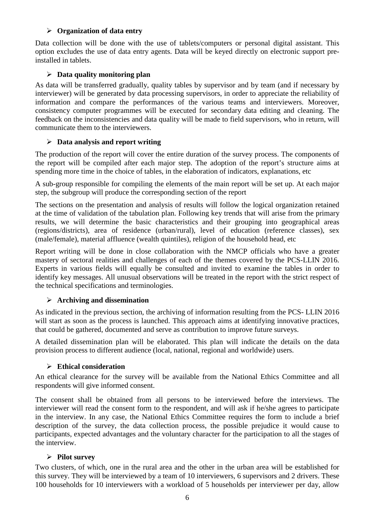#### **Organization of data entry**

Data collection will be done with the use of tablets/computers or personal digital assistant. This option excludes the use of data entry agents. Data will be keyed directly on electronic support preinstalled in tablets.

#### **Data quality monitoring plan**

As data will be transferred gradually, quality tables by supervisor and by team (and if necessary by interviewer) will be generated by data processing supervisors, in order to appreciate the reliability of information and compare the performances of the various teams and interviewers. Moreover, consistency computer programmes will be executed for secondary data editing and cleaning. The feedback on the inconsistencies and data quality will be made to field supervisors, who in return, will communicate them to the interviewers.

#### **Data analysis and report writing**

The production of the report will cover the entire duration of the survey process. The components of the report will be compiled after each major step. The adoption of the report's structure aims at spending more time in the choice of tables, in the elaboration of indicators, explanations, etc

A sub-group responsible for compiling the elements of the main report will be set up. At each major step, the subgroup will produce the corresponding section of the report

The sections on the presentation and analysis of results will follow the logical organization retained at the time of validation of the tabulation plan. Following key trends that will arise from the primary results, we will determine the basic characteristics and their grouping into geographical areas (regions/districts), area of residence (urban/rural), level of education (reference classes), sex (male/female), material affluence (wealth quintiles), religion of the household head, etc

Report writing will be done in close collaboration with the NMCP officials who have a greater mastery of sectoral realities and challenges of each of the themes covered by the PCS-LLIN 2016. Experts in various fields will equally be consulted and invited to examine the tables in order to identify key messages. All unusual observations will be treated in the report with the strict respect of the technical specifications and terminologies.

#### **Archiving and dissemination**

As indicated in the previous section, the archiving of information resulting from the PCS- LLIN 2016 will start as soon as the process is launched. This approach aims at identifying innovative practices, that could be gathered, documented and serve as contribution to improve future surveys.

A detailed dissemination plan will be elaborated. This plan will indicate the details on the data provision process to different audience (local, national, regional and worldwide) users.

#### **Ethical consideration**

An ethical clearance for the survey will be available from the National Ethics Committee and all respondents will give informed consent.

The consent shall be obtained from all persons to be interviewed before the interviews. The interviewer will read the consent form to the respondent, and will ask if he/she agrees to participate in the interview. In any case, the National Ethics Committee requires the form to include a brief description of the survey, the data collection process, the possible prejudice it would cause to participants, expected advantages and the voluntary character for the participation to all the stages of the interview.

#### **Pilot survey**

Two clusters, of which, one in the rural area and the other in the urban area will be established for this survey. They will be interviewed by a team of 10 interviewers, 6 supervisors and 2 drivers. These 100 households for 10 interviewers with a workload of 5 households per interviewer per day, allow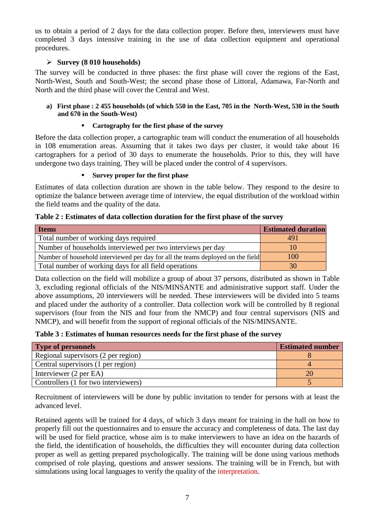us to obtain a period of 2 days for the data collection proper. Before then, interviewers must have completed 3 days intensive training in the use of data collection equipment and operational procedures.

### **Survey (8 010 households)**

The survey will be conducted in three phases: the first phase will cover the regions of the East, North-West, South and South-West; the second phase those of Littoral, Adamawa, Far-North and North and the third phase will cover the Central and West.

#### **a) First phase : 2 455 households (of which 550 in the East, 705 in the North-West, 530 in the South and 670 in the South-West)**

### **Cartography for the first phase of the survey**

Before the data collection proper, a cartographic team will conduct the enumeration of all households in 108 enumeration areas. Assuming that it takes two days per cluster, it would take about 16 cartographers for a period of 30 days to enumerate the households. Prior to this, they will have undergone two days training. They will be placed under the control of 4 supervisors.

#### **Survey proper for the first phase**

Estimates of data collection duration are shown in the table below. They respond to the desire to optimize the balance between average time of interview, the equal distribution of the workload within the field teams and the quality of the data.

| <b>Items</b>                                                                    | <b>Estimated duration</b> |
|---------------------------------------------------------------------------------|---------------------------|
| Total number of working days required                                           | 491                       |
| Number of households interviewed per two interviews per day                     | 10                        |
| Number of household interviewed per day for all the teams deployed on the field | 100                       |
| Total number of working days for all field operations                           | 30                        |

#### **Table 2 : Estimates of data collection duration for the first phase of the survey**

Data collection on the field will mobilize a group of about 37 persons, distributed as shown in Table 3, excluding regional officials of the NIS/MINSANTE and administrative support staff. Under the above assumptions, 20 interviewers will be needed. These interviewers will be divided into 5 teams and placed under the authority of a controller. Data collection work will be controlled by 8 regional supervisors (four from the NIS and four from the NMCP) and four central supervisors (NIS and NMCP), and will benefit from the support of regional officials of the NIS/MINSANTE.

**Table 3 : Estimates of human resources needs for the first phase of the survey**

| <b>Type of personnels</b>            | <b>Estimated number</b> |
|--------------------------------------|-------------------------|
| Regional supervisors (2 per region)  |                         |
| Central supervisors (1 per region)   |                         |
| Interviewer (2 per EA)               |                         |
| Controllers (1 for two interviewers) |                         |

Recruitment of interviewers will be done by public invitation to tender for persons with at least the advanced level.

Retained agents will be trained for 4 days, of which 3 days meant for training in the hall on how to properly fill out the questionnaires and to ensure the accuracy and completeness of data. The last day will be used for field practice, whose aim is to make interviewers to have an idea on the hazards of the field, the identification of households, the difficulties they will encounter during data collection proper as well as getting prepared psychologically. The training will be done using various methods comprised of role playing, questions and answer sessions. The training will be in French, but with simulations using local languages to verify the quality of the interpretation.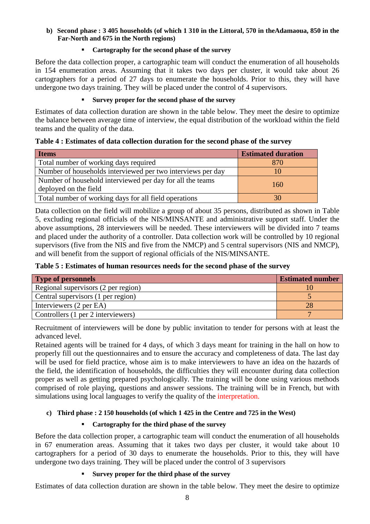#### **b) Second phase : 3 405 households (of which 1 310 in the Littoral, 570 in theAdamaoua, 850 in the Far-North and 675 in the North regions)**

#### **Cartography for the second phase of the survey**

Before the data collection proper, a cartographic team will conduct the enumeration of all households in 154 enumeration areas. Assuming that it takes two days per cluster, it would take about 26 cartographers for a period of 27 days to enumerate the households. Prior to this, they will have undergone two days training. They will be placed under the control of 4 supervisors.

#### **Survey proper for the second phase of the survey**

Estimates of data collection duration are shown in the table below. They meet the desire to optimize the balance between average time of interview, the equal distribution of the workload within the field teams and the quality of the data.

| <b>Items</b>                                                | <b>Estimated duration</b> |
|-------------------------------------------------------------|---------------------------|
| Total number of working days required                       | 870                       |
| Number of households interviewed per two interviews per day |                           |

**Table 4 : Estimates of data collection duration for the second phase of the survey**

deployed on the field the viewed per day for an the teams deployed on the field Total number of working days for all field operations 30

Number of household interviewed per day for all the teams

| Data collection on the field will mobilize a group of about 35 persons, distributed as shown in Table  |  |
|--------------------------------------------------------------------------------------------------------|--|
| 5, excluding regional officials of the NIS/MINSANTE and administrative support staff. Under the        |  |
| above assumptions, 28 interviewers will be needed. These interviewers will be divided into 7 teams     |  |
| and placed under the authority of a controller. Data collection work will be controlled by 10 regional |  |
| supervisors (five from the NIS and five from the NMCP) and 5 central supervisors (NIS and NMCP),       |  |
| and will benefit from the support of regional officials of the NIS/MINSANTE.                           |  |

| Table 5 : Estimates of human resources needs for the second phase of the survey |  |  |  |  |
|---------------------------------------------------------------------------------|--|--|--|--|
|                                                                                 |  |  |  |  |

| <b>Type of personnels</b>           | <b>Estimated number</b> |
|-------------------------------------|-------------------------|
| Regional supervisors (2 per region) |                         |
| Central supervisors (1 per region)  |                         |
| Interviewers (2 per EA)             |                         |
| Controllers (1 per 2 interviewers)  |                         |

Recruitment of interviewers will be done by public invitation to tender for persons with at least the advanced level.

Retained agents will be trained for 4 days, of which 3 days meant for training in the hall on how to properly fill out the questionnaires and to ensure the accuracy and completeness of data. The last day will be used for field practice, whose aim is to make interviewers to have an idea on the hazards of the field, the identification of households, the difficulties they will encounter during data collection proper as well as getting prepared psychologically. The training will be done using various methods comprised of role playing, questions and answer sessions. The training will be in French, but with simulations using local languages to verify the quality of the interpretation.

#### **c) Third phase : 2 150 households (of which 1 425 in the Centre and 725 in the West)**

#### **Cartography for the third phase of the survey**

Before the data collection proper, a cartographic team will conduct the enumeration of all households in 67 enumeration areas. Assuming that it takes two days per cluster, it would take about 10 cartographers for a period of 30 days to enumerate the households. Prior to this, they will have undergone two days training. They will be placed under the control of 3 supervisors

#### **Survey proper for the third phase of the survey**

Estimates of data collection duration are shown in the table below. They meet the desire to optimize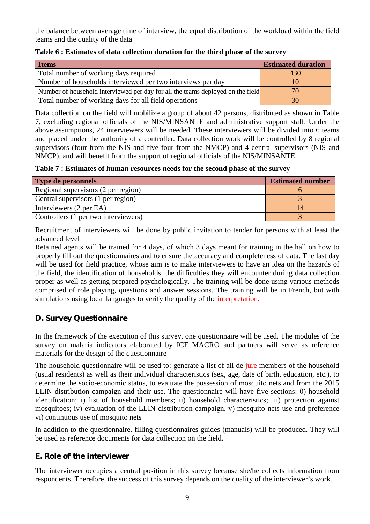the balance between average time of interview, the equal distribution of the workload within the field teams and the quality of the data

| <b>Items</b>                                                                    | <b>Estimated duration</b> |
|---------------------------------------------------------------------------------|---------------------------|
| Total number of working days required                                           | 430                       |
| Number of households interviewed per two interviews per day                     | Ю                         |
| Number of household interviewed per day for all the teams deployed on the field | 70                        |
| Total number of working days for all field operations                           | 30                        |

#### **Table 6 : Estimates of data collection duration for the third phase of the survey**

Data collection on the field will mobilize a group of about 42 persons, distributed as shown in Table 7, excluding regional officials of the NIS/MINSANTE and administrative support staff. Under the above assumptions, 24 interviewers will be needed. These interviewers will be divided into 6 teams and placed under the authority of a controller. Data collection work will be controlled by 8 regional supervisors (four from the NIS and five four from the NMCP) and 4 central supervisors (NIS and NMCP), and will benefit from the support of regional officials of the NIS/MINSANTE.

**Table 7 : Estimates of human resources needs for the second phase of the survey**

| <b>Type de personnels</b>            | <b>Estimated number</b> |
|--------------------------------------|-------------------------|
| Regional supervisors (2 per region)  |                         |
| Central supervisors (1 per region)   |                         |
| Interviewers (2 per EA)              | 14                      |
| Controllers (1 per two interviewers) |                         |

Recruitment of interviewers will be done by public invitation to tender for persons with at least the advanced level

Retained agents will be trained for 4 days, of which 3 days meant for training in the hall on how to properly fill out the questionnaires and to ensure the accuracy and completeness of data. The last day will be used for field practice, whose aim is to make interviewers to have an idea on the hazards of the field, the identification of households, the difficulties they will encounter during data collection proper as well as getting prepared psychologically. The training will be done using various methods comprised of role playing, questions and answer sessions. The training will be in French, but with simulations using local languages to verify the quality of the interpretation.

# *D. Survey Questionnaire*

In the framework of the execution of this survey, one questionnaire will be used. The modules of the survey on malaria indicators elaborated by ICF MACRO and partners will serve as reference materials for the design of the questionnaire

The household questionnaire will be used to: generate a list of all de jure members of the household (usual residents) as well as their individual characteristics (sex, age, date of birth, education, etc.), to determine the socio-economic status, to evaluate the possession of mosquito nets and from the 2015 LLIN distribution campaign and their use. The questionnaire will have five sections: 0) household identification; i) list of household members; ii) household characteristics; iii) protection against mosquitoes; iv) evaluation of the LLIN distribution campaign, v) mosquito nets use and preference vi) continuous use of mosquito nets

In addition to the questionnaire, filling questionnaires guides (manuals) will be produced. They will be used as reference documents for data collection on the field.

# *E. Role of the interviewer*

The interviewer occupies a central position in this survey because she/he collects information from respondents. Therefore, the success of this survey depends on the quality of the interviewer's work.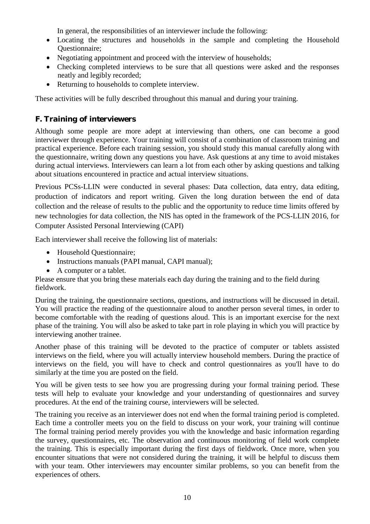In general, the responsibilities of an interviewer include the following:

- Locating the structures and households in the sample and completing the Household Questionnaire;
- Negotiating appointment and proceed with the interview of households;
- Checking completed interviews to be sure that all questions were asked and the responses neatly and legibly recorded;
- Returning to households to complete interview.

These activities will be fully described throughout this manual and during your training.

# *F. Training of interviewers*

Although some people are more adept at interviewing than others, one can become a good interviewer through experience. Your training will consist of a combination of classroom training and practical experience. Before each training session, you should study this manual carefully along with the questionnaire, writing down any questions you have. Ask questions at any time to avoid mistakes during actual interviews. Interviewers can learn a lot from each other by asking questions and talking about situations encountered in practice and actual interview situations.

Previous PCSs-LLIN were conducted in several phases: Data collection, data entry, data editing, production of indicators and report writing. Given the long duration between the end of data collection and the release of results to the public and the opportunity to reduce time limits offered by new technologies for data collection, the NIS has opted in the framework of the PCS-LLIN 2016, for Computer Assisted Personal Interviewing (CAPI)

Each interviewer shall receive the following list of materials:

- Household Questionnaire;
- Instructions manuals (PAPI manual, CAPI manual);
- A computer or a tablet.

Please ensure that you bring these materials each day during the training and to the field during fieldwork.

During the training, the questionnaire sections, questions, and instructions will be discussed in detail. You will practice the reading of the questionnaire aloud to another person several times, in order to become comfortable with the reading of questions aloud. This is an important exercise for the next phase of the training. You will also be asked to take part in role playing in which you will practice by interviewing another trainee.

Another phase of this training will be devoted to the practice of computer or tablets assisted interviews on the field, where you will actually interview household members. During the practice of interviews on the field, you will have to check and control questionnaires as you'll have to do similarly at the time you are posted on the field.

You will be given tests to see how you are progressing during your formal training period. These tests will help to evaluate your knowledge and your understanding of questionnaires and survey procedures. At the end of the training course, interviewers will be selected.

The training you receive as an interviewer does not end when the formal training period is completed. Each time a controller meets you on the field to discuss on your work, your training will continue The formal training period merely provides you with the knowledge and basic information regarding the survey, questionnaires, etc. The observation and continuous monitoring of field work complete the training. This is especially important during the first days of fieldwork. Once more, when you encounter situations that were not considered during the training, it will be helpful to discuss them with your team. Other interviewers may encounter similar problems, so you can benefit from the experiences of others.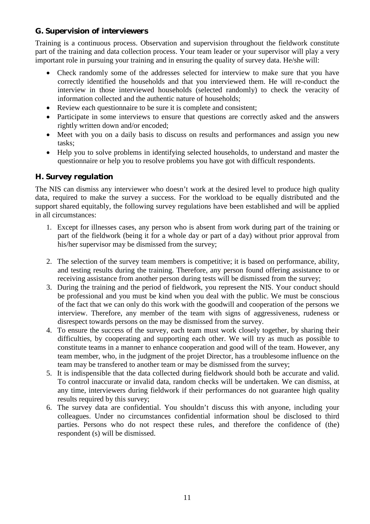# *G. Supervision of interviewers*

Training is a continuous process. Observation and supervision throughout the fieldwork constitute part of the training and data collection process. Your team leader or your supervisor will play a very important role in pursuing your training and in ensuring the quality of survey data. He/she will:

- Check randomly some of the addresses selected for interview to make sure that you have correctly identified the households and that you interviewed them. He will re-conduct the interview in those interviewed households (selected randomly) to check the veracity of information collected and the authentic nature of households;
- Review each questionnaire to be sure it is complete and consistent:
- Participate in some interviews to ensure that questions are correctly asked and the answers rightly written down and/or encoded;
- Meet with you on a daily basis to discuss on results and performances and assign you new tasks;
- Help you to solve problems in identifying selected households, to understand and master the questionnaire or help you to resolve problems you have got with difficult respondents.

# *H. Survey regulation*

The NIS can dismiss any interviewer who doesn't work at the desired level to produce high quality data, required to make the survey a success. For the workload to be equally distributed and the support shared equitably, the following survey regulations have been established and will be applied in all circumstances:

- 1. Except for illnesses cases, any person who is absent from work during part of the training or part of the fieldwork (being it for a whole day or part of a day) without prior approval from his/her supervisor may be dismissed from the survey;
- 2. The selection of the survey team members is competitive; it is based on performance, ability, and testing results during the training. Therefore, any person found offering assistance to or receiving assistance from another person during tests will be dismissed from the survey;
- 3. During the training and the period of fieldwork, you represent the NIS. Your conduct should be professional and you must be kind when you deal with the public. We must be conscious of the fact that we can only do this work with the goodwill and cooperation of the persons we interview. Therefore, any member of the team with signs of aggressiveness, rudeness or disrespect towards persons on the may be dismissed from the survey.
- 4. To ensure the success of the survey, each team must work closely together, by sharing their difficulties, by cooperating and supporting each other. We will try as much as possible to constitute teams in a manner to enhance cooperation and good will of the team. However, any team member, who, in the judgment of the projet Director, has a troublesome influence on the team may be transfered to another team or may be dismissed from the survey;
- 5. It is indispensible that the data collected during fieldwork should both be accurate and valid. To control inaccurate or invalid data, random checks will be undertaken. We can dismiss, at any time, interviewers during fieldwork if their performances do not guarantee high quality results required by this survey;
- 6. The survey data are confidential. You shouldn't discuss this with anyone, including your colleagues. Under no circumstances confidential information shoul be disclosed to third parties. Persons who do not respect these rules, and therefore the confidence of (the) respondent (s) will be dismissed.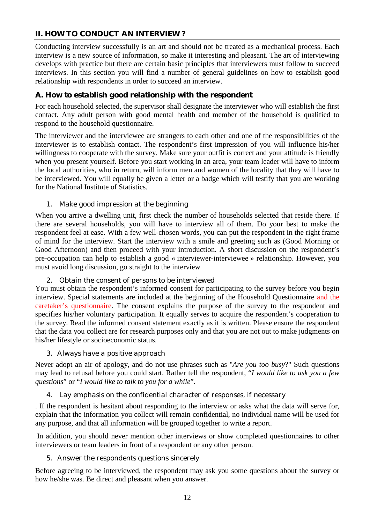# **II. HOW TO CONDUCT AN INTERVIEW ?**

Conducting interview successfully is an art and should not be treated as a mechanical process. Each interview is a new source of information, so make it interesting and pleasant. The art of interviewing develops with practice but there are certain basic principles that interviewers must follow to succeed interviews. In this section you will find a number of general guidelines on how to establish good relationship with respondents in order to succeed an interview.

# *A. How to establish good relationship with the respondent*

For each household selected, the supervisor shall designate the interviewer who will establish the first contact. Any adult person with good mental health and member of the household is qualified to respond to the household questionnaire.

The interviewer and the interviewee are strangers to each other and one of the responsibilities of the interviewer is to establish contact. The respondent's first impression of you will influence his/her willingness to cooperate with the survey. Make sure your outfit is correct and your attitude is friendly when you present yourself. Before you start working in an area, your team leader will have to inform the local authorities, who in return, will inform men and women of the locality that they will have to be interviewed. You will equally be given a letter or a badge which will testify that you are working for the National Institute of Statistics.

#### *1. Make good impression at the beginning*

When you arrive a dwelling unit, first check the number of households selected that reside there. If there are several households, you will have to interview all of them. Do your best to make the respondent feel at ease. With a few well-chosen words, you can put the respondent in the right frame of mind for the interview. Start the interview with a smile and greeting such as (Good Morning or Good Afternoon) and then proceed with your introduction. A short discussion on the respondent's pre-occupation can help to establish a good « interviewer-interviewee » relationship. However, you must avoid long discussion, go straight to the interview

#### *2. Obtain the consent of persons to be interviewed*

You must obtain the respondent's informed consent for participating to the survey before you begin interview. Special statements are included at the beginning of the Household Questionnaire and the caretaker's questionnaire. The consent explains the purpose of the survey to the respondent and specifies his/her voluntary participation. It equally serves to acquire the respondent's cooperation to the survey. Read the informed consent statement exactly as it is written. Please ensure the respondent that the data you collect are for research purposes only and that you are not out to make judgments on his/her lifestyle or socioeconomic status.

#### *3. Always have a positive approach*

Never adopt an air of apology, and do not use phrases such as "*Are you too busy*?" Such questions may lead to refusal before you could start. Rather tell the respondent, "*I would like to ask you a few questions*" or "*I would like to talk to you for a while*".

#### *4. Lay emphasis on the confidential character of responses, if necessary*

. If the respondent is hesitant about responding to the interview or asks what the data will serve for, explain that the information you collect will remain confidential, no individual name will be used for any purpose, and that all information will be grouped together to write a report.

In addition, you should never mention other interviews or show completed questionnaires to other interviewers or team leaders in front of a respondent or any other person.

#### *5. Answer the respondents questions sincerely*

Before agreeing to be interviewed, the respondent may ask you some questions about the survey or how he/she was. Be direct and pleasant when you answer.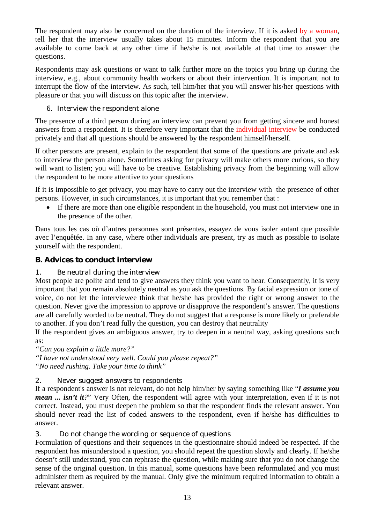The respondent may also be concerned on the duration of the interview. If it is asked by a woman, tell her that the interview usually takes about 15 minutes. Inform the respondent that you are available to come back at any other time if he/she is not available at that time to answer the questions.

Respondents may ask questions or want to talk further more on the topics you bring up during the interview, e.g., about community health workers or about their intervention. It is important not to interrupt the flow of the interview. As such, tell him/her that you will answer his/her questions with pleasure or that you will discuss on this topic after the interview.

### *6. Interview the respondent alone*

The presence of a third person during an interview can prevent you from getting sincere and honest answers from a respondent. It is therefore very important that the individual interview be conducted privately and that all questions should be answered by the respondent himself/herself.

If other persons are present, explain to the respondent that some of the questions are private and ask to interview the person alone. Sometimes asking for privacy will make others more curious, so they will want to listen; you will have to be creative. Establishing privacy from the beginning will allow the respondent to be more attentive to your questions

If it is impossible to get privacy, you may have to carry out the interview with the presence of other persons. However, in such circumstances, it is important that you remember that :

 If there are more than one eligible respondent in the household, you must not interview one in the presence of the other.

Dans tous les cas où d'autres personnes sont présentes, essayez de vous isoler autant que possible avec l'enquêtée. In any case, where other individuals are present, try as much as possible to isolate yourself with the respondent.

# *B. Advices to conduct interview*

# *1. Be neutral during the interview*

Most people are polite and tend to give answers they think you want to hear. Consequently, it is very important that you remain absolutely neutral as you ask the questions. By facial expression or tone of voice, do not let the interviewee think that he/she has provided the right or wrong answer to the question. Never give the impression to approve or disapprove the respondent's answer. The questions are all carefully worded to be neutral. They do not suggest that a response is more likely or preferable to another. If you don't read fully the question, you can destroy that neutrality

If the respondent gives an ambiguous answer, try to deepen in a neutral way, asking questions such as:

*"Can you explain a little more?"*

*"I have not understood very well. Could you please repeat?" "No need rushing. Take your time to think"*

#### *2. Never suggest answers to respondents*

If a respondent's answer is not relevant, do not help him/her by saying something like "*I assume you mean ... isn't it?*" Very Often, the respondent will agree with your interpretation, even if it is not correct. Instead, you must deepen the problem so that the respondent finds the relevant answer. You should never read the list of coded answers to the respondent, even if he/she has difficulties to answer.

#### *3. Do not change the wording or sequence of questions*

Formulation of questions and their sequences in the questionnaire should indeed be respected. If the respondent has misunderstood a question, you should repeat the question slowly and clearly. If he/she doesn't still understand, you can rephrase the question, while making sure that you do not change the sense of the original question. In this manual, some questions have been reformulated and you must administer them as required by the manual. Only give the minimum required information to obtain a relevant answer.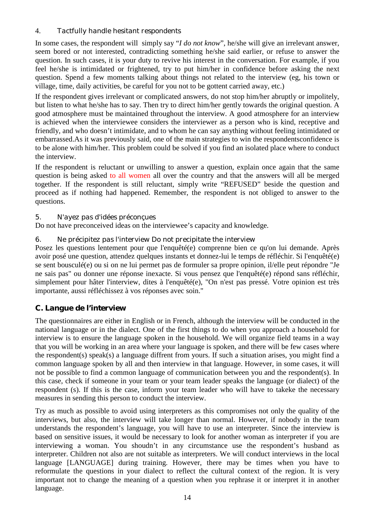### 4. *Tactfully handle hesitant respondents*

In some cases, the respondent will simply say "*I do not know*", he/she will give an irrelevant answer, seem bored or not interested, contradicting something he/she said earlier, or refuse to answer the question. In such cases, it is your duty to revive his interest in the conversation. For example, if you feel he/she is intimidated or frightened, try to put him/her in confidence before asking the next question. Spend a few moments talking about things not related to the interview (eg, his town or village, time, daily activities, be careful for you not to be gottent carried away, etc.)

If the respondent gives irrelevant or complicated answers, do not stop him/her abruptly or impolitely, but listen to what he/she has to say. Then try to direct him/her gently towards the original question. A good atmosphere must be maintained throughout the interview. A good atmosphere for an interview is achieved when the interviewee considers the interviewer as a person who is kind, receptive and friendly, and who doesn't intimidate, and to whom he can say anything without feeling intimidated or embarrassed.As it was previously said, one of the main strategies to win the respondentsconfidence is to be alone with him/her. This problem could be solved if you find an isolated place where to conduct the interview.

If the respondent is reluctant or unwilling to answer a question, explain once again that the same question is being asked to all women all over the country and that the answers will all be merged together. If the respondent is still reluctant, simply write "REFUSED" beside the question and proceed as if nothing had happened. Remember, the respondent is not obliged to answer to the questions.

#### *5. N'ayez pas d'idées préconçues*

Do not have preconceived ideas on the interviewee's capacity and knowledge.

#### *6. Ne précipitez pas l'interview Do not precipitate the interview*

Posez les questions lentement pour que l'enquêté(e) comprenne bien ce qu'on lui demande. Après avoir posé une question, attendez quelques instants et donnez-lui le temps de réfléchir. Si l'enquêté(e) se sent bousculé(e) ou si on ne lui permet pas de formuler sa propre opinion, il/elle peut répondre "Je ne sais pas" ou donner une réponse inexacte. Si vous pensez que l'enquêté(e) répond sans réfléchir, simplement pour hâter l'interview, dites à l'enquêté(e), "On n'est pas pressé. Votre opinion est très importante, aussi réfléchissez à vos réponses avec soin."

# *C. Langue de l'interview*

The questionnaires are either in English or in French, although the interview will be conducted in the national language or in the dialect. One of the first things to do when you approach a household for interview is to ensure the language spoken in the household. We will organize field teams in a way that you will be working in an area where your language is spoken, and there will be few cases where the respondent(s) speak(s) a language diffrent from yours. If such a situation arises, you might find a common language spoken by all and then interview in that language. However, in some cases, it will not be possible to find a common language of communication between you and the respondent(s). In this case, check if someone in your team or your team leader speaks the language (or dialect) of the respondent (s). If this is the case, inform your team leader who will have to takeke the necessary measures in sending this person to conduct the interview.

Try as much as possible to avoid using interpreters as this compromises not only the quality of the interviews, but also, the interview will take longer than normal. However, if nobody in the team understands the respondent's language, you will have to use an interpreter. Since the interview is based on sensitive issues, it would be necessary to look for another woman as interpreter if you are interviewing a woman. You shoudn't in any circumstance use the respondent's husband as interpreter. Children not also are not suitable as interpreters. We will conduct interviews in the local language [LANGUAGE] during training. However, there may be times when you have to reformulate the questions in your dialect to reflect the cultural context of the region. It is very important not to change the meaning of a question when you rephrase it or interpret it in another language.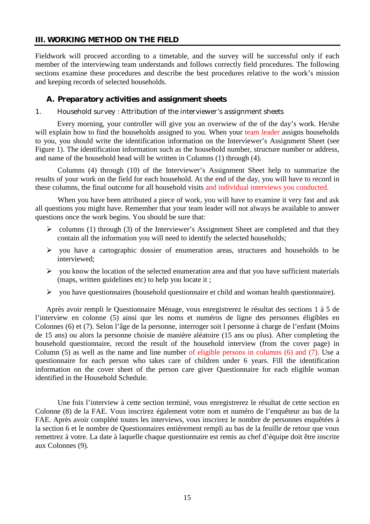#### **III. WORKING METHOD ON THE FIELD**

Fieldwork will proceed according to a timetable, and the survey will be successful only if each member of the interviewing team understands and follows correctly field procedures. The following sections examine these procedures and describe the best procedures relative to the work's mission and keeping records of selected households.

#### *A. Preparatory activities and assignment sheets*

#### *1. Household survey : Attribution of the interviewer's assignment sheets*

Every morning, your controller will give you an overwiew of the of the day's work. He/she will explain how to find the households assigned to you. When your team leader assigns households to you, you should write the identification information on the Interviewer's Assignment Sheet (see Figure 1). The identification information such as the household number, structure number or address, and name of the household head will be written in Columns (1) through (4).

Columns (4) through (10) of the Interviewer's Assignment Sheet help to summarize the results of your work on the field for each household. At the end of the day, you will have to record in these columns, the final outcome for all household visits and individual interviews you conducted.

When you have been attributed a piece of work, you will have to examine it very fast and ask all questions you might have. Remember that your team leader will not always be available to answer questions once the work begins. You should be sure that:

- $\geq$  columns (1) through (3) of the Interviewer's Assignment Sheet are completed and that they contain all the information you will need to identify the selected households;
- $\triangleright$  you have a cartographic dossier of enumeration areas, structures and households to be interviewed;
- $\triangleright$  you know the location of the selected enumeration area and that you have sufficient materials (maps, written guidelines etc) to help you locate it ;
- $\triangleright$  you have questionnaires (household questionnaire et child and woman health questionnaire).

Après avoir rempli le Questionnaire Ménage, vous enregistrerez le résultat des sections 1 à 5 de l'interview en colonne (5) ainsi que les noms et numéros de ligne des personnes éligibles en Colonnes (6) et (7). Selon l'âge de la personne, interroger soit l personne à charge de l'enfant (Moins de 15 ans) ou alors la personne choisie de manière aléatoire (15 ans ou plus). After completing the household questionnaire, record the result of the household interview (from the cover page) in Column (5) as well as the name and line number of eligible persons in columns (6) and (7). Use a questionnaire for each person who takes care of children under 6 years. Fill the identification information on the cover sheet of the person care giver Questionnaire for each eligible woman identified in the Household Schedule.

Une fois l'interview à cette section terminé, vous enregistrerez le résultat de cette section en Colonne (8) de la FAE. Vous inscrirez également votre nom et numéro de l'enquêteur au bas de la FAE. Après avoir complété toutes les interviews, vous inscrirez le nombre de personnes enquêtées à la section 6 et le nombre de Questionnaires entièrement rempli au bas de la feuille de retour que vous remettrez à votre. La date à laquelle chaque questionnaire est remis au chef d'équipe doit être inscrite aux Colonnes (9).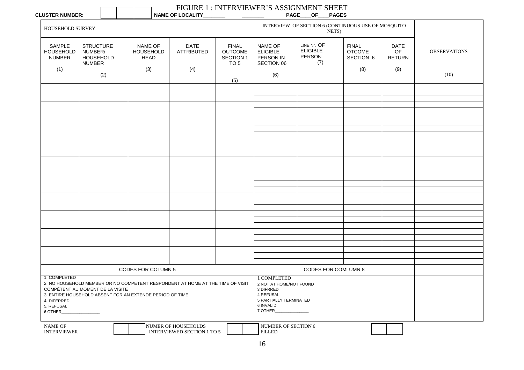| <b>CLUSTER NUMBER:</b> |  |
|------------------------|--|
|------------------------|--|

 $\Gamma$ 

 $\Box$ 

٦

# FIGURE 1 : INTERVIEWER'S ASSIGNMENT SHEET

| <b>CLUSTER NUMBER:</b>                               |                                                                  |                                                                                                                                            | <b>NAME OF LOCALITY_</b>                          |                                                                |                                                                                                                    | <b>PAGE OF</b><br><b>PAGES</b>                              |                                            |                             |                     |
|------------------------------------------------------|------------------------------------------------------------------|--------------------------------------------------------------------------------------------------------------------------------------------|---------------------------------------------------|----------------------------------------------------------------|--------------------------------------------------------------------------------------------------------------------|-------------------------------------------------------------|--------------------------------------------|-----------------------------|---------------------|
| HOUSEHOLD SURVEY                                     |                                                                  |                                                                                                                                            |                                                   |                                                                |                                                                                                                    | INTERVIEW OF SECTION 6 (CONTINUOUS USE OF MOSQUITO<br>NETS) |                                            |                             |                     |
| SAMPLE<br><b>HOUSEHOLD</b><br><b>NUMBER</b>          | <b>STRUCTURE</b><br>NUMBER/<br><b>HOUSEHOLD</b><br><b>NUMBER</b> | NAME OF<br><b>HOUSEHOLD</b><br><b>HEAD</b>                                                                                                 | <b>DATE</b><br><b>ATTRIBUTED</b>                  | <b>FINAL</b><br><b>OUTCOME</b><br>SECTION 1<br>TO <sub>5</sub> | NAME OF<br><b>ELIGIBLE</b><br>PERSON IN<br>SECTION 06                                                              | LINE N°. OF<br><b>ELIGIBLE</b><br>PERSON<br>(7)             | <b>FINAL</b><br><b>OTCOME</b><br>SECTION 6 | DATE<br>OF<br><b>RETURN</b> | <b>OBSERVATIONS</b> |
| (1)                                                  | (2)                                                              | (3)                                                                                                                                        | (4)                                               | (5)                                                            | (6)                                                                                                                |                                                             | (8)                                        | (9)                         | (10)                |
|                                                      |                                                                  |                                                                                                                                            |                                                   |                                                                |                                                                                                                    |                                                             |                                            |                             |                     |
|                                                      |                                                                  |                                                                                                                                            |                                                   |                                                                |                                                                                                                    |                                                             |                                            |                             |                     |
|                                                      |                                                                  |                                                                                                                                            |                                                   |                                                                |                                                                                                                    |                                                             |                                            |                             |                     |
|                                                      |                                                                  |                                                                                                                                            |                                                   |                                                                |                                                                                                                    |                                                             |                                            |                             |                     |
|                                                      |                                                                  |                                                                                                                                            |                                                   |                                                                |                                                                                                                    |                                                             |                                            |                             |                     |
|                                                      |                                                                  |                                                                                                                                            |                                                   |                                                                |                                                                                                                    |                                                             |                                            |                             |                     |
|                                                      |                                                                  |                                                                                                                                            |                                                   |                                                                |                                                                                                                    |                                                             |                                            |                             |                     |
|                                                      |                                                                  |                                                                                                                                            |                                                   |                                                                |                                                                                                                    |                                                             |                                            |                             |                     |
|                                                      |                                                                  |                                                                                                                                            |                                                   |                                                                |                                                                                                                    |                                                             |                                            |                             |                     |
|                                                      |                                                                  |                                                                                                                                            |                                                   |                                                                |                                                                                                                    |                                                             |                                            |                             |                     |
|                                                      |                                                                  |                                                                                                                                            |                                                   |                                                                |                                                                                                                    |                                                             |                                            |                             |                     |
|                                                      |                                                                  |                                                                                                                                            |                                                   |                                                                |                                                                                                                    |                                                             |                                            |                             |                     |
|                                                      |                                                                  |                                                                                                                                            |                                                   |                                                                |                                                                                                                    |                                                             |                                            |                             |                     |
|                                                      |                                                                  |                                                                                                                                            |                                                   |                                                                |                                                                                                                    |                                                             |                                            |                             |                     |
|                                                      |                                                                  |                                                                                                                                            |                                                   |                                                                |                                                                                                                    |                                                             |                                            |                             |                     |
|                                                      |                                                                  |                                                                                                                                            |                                                   |                                                                |                                                                                                                    |                                                             |                                            |                             |                     |
|                                                      |                                                                  |                                                                                                                                            |                                                   |                                                                |                                                                                                                    |                                                             |                                            |                             |                     |
|                                                      |                                                                  |                                                                                                                                            |                                                   |                                                                |                                                                                                                    |                                                             |                                            |                             |                     |
|                                                      |                                                                  | CODES FOR COLUMN 5                                                                                                                         |                                                   |                                                                |                                                                                                                    | CODES FOR COMLUMN 8                                         |                                            |                             |                     |
| 1. COMPLETED<br>4. DIFERRED<br>5. REFUSAL<br>6 OTHER | COMPÉTENT AU MOMENT DE LA VISITE                                 | 2. NO HOUSEHOLD MEMBER OR NO COMPETENT RESPONDENT AT HOME AT THE TIME OF VISIT<br>3. ENTIRE HOUSEHOLD ABSENT FOR AN EXTENDE PERIOD OF TIME |                                                   |                                                                | 1 COMPLETED<br>2 NOT AT HOME/NOT FOUND<br>3 DIFRRED<br>4 REFUSAL<br>5 PARTIALLY TERMINATED<br>6 INVALID<br>7 OTHER |                                                             |                                            |                             |                     |
| <b>NAME OF</b><br><b>INTERVIEWER</b>                 |                                                                  |                                                                                                                                            | NUMER OF HOUSEHOLDS<br>INTERVIEWED SECTION 1 TO 5 |                                                                | NUMBER OF SECTION 6<br><b>FILLED</b>                                                                               |                                                             |                                            |                             |                     |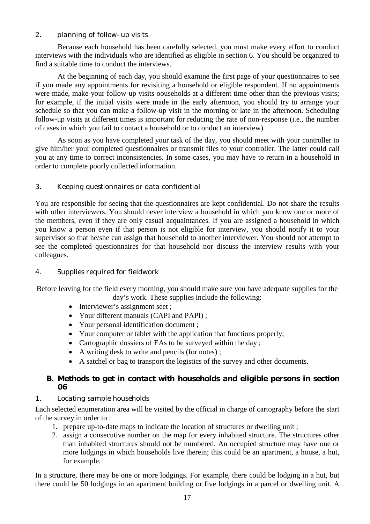#### *2. planning of follow-up visits*

Because each household has been carefully selected, you must make every effort to conduct interviews with the individuals who are identified as eligible in section 6. You should be organized to find a suitable time to conduct the interviews.

At the beginning of each day, you should examine the first page of your questionnaires to see if you made any appointments for revisiting a household or eligible respondent. If no appointments were made, make your follow-up visits oouseholds at a different time other than the previous visits; for example, if the initial visits were made in the early afternoon, you should try to arrange your schedule so that you can make a follow-up visit in the morning or late in the afternoon. Scheduling follow-up visits at different times is important for reducing the rate of non-response (i.e., the number of cases in which you fail to contact a household or to conduct an interview).

As soon as you have completed your task of the day, you should meet with your controller to give him/her your completed questionnaires or transmit files to your controller. The latter could call you at any time to correct inconsistencies. In some cases, you may have to return in a household in order to complete poorly collected information.

#### *3. Keeping questionnaires or data confidential*

You are responsible for seeing that the questionnaires are kept confidential. Do not share the results with other interviewers. You should never interview a household in which you know one or more of the members, even if they are only casual acquaintances. If you are assigned a household in which you know a person even if that person is not eligible for interview, you should notify it to your supervisor so that he/she can assign that household to another interviewer. You should not attempt to see the completed questionnaires for that household nor discuss the interview results with your colleagues.

#### *4. Supplies required for fieldwork*

Before leaving for the field every morning, you should make sure you have adequate supplies for the day's work. These supplies include the following:

- Interviewer's assignment seet ;
- Your different manuals (CAPI and PAPI) ;
- Your personal identification document ;
- Your computer or tablet with the application that functions properly;
- Cartographic dossiers of EAs to be surveyed within the day;
- A writing desk to write and pencils (for notes) ;
- A satchel or bag to transport the logistics of the survey and other documents.

#### *B. Methods to get in contact with households and eligible persons in section 06*

#### *1. Locating sample households*

Each selected enumeration area will be visited by the official in charge of cartography before the start of the survey in order to :

- 1. prepare up-to-date maps to indicate the location of structures or dwelling unit ;
- 2. assign a consecutive number on the map for every inhabited structure. The structures other than inhabited structures should not be numbered. An occupied structure may have one or more lodgings in which households live therein; this could be an apartment, a house, a hut, for example.

In a structure, there may be one or more lodgings. For example, there could be lodging in a hut, but there could be 50 lodgings in an apartment building or five lodgings in a parcel or dwelling unit. A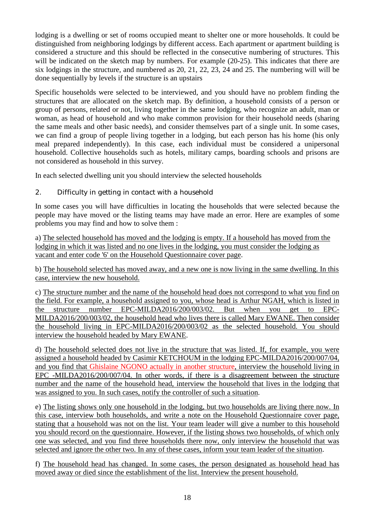lodging is a dwelling or set of rooms occupied meant to shelter one or more households. It could be distinguished from neighboring lodgings by different access. Each apartment or apartment building is considered a structure and this should be reflected in the consecutive numbering of structures. This will be indicated on the sketch map by numbers. For example (20-25). This indicates that there are six lodgings in the structure, and numbered as 20, 21, 22, 23, 24 and 25. The numbering will will be done sequentially by levels if the structure is an upstairs

Specific households were selected to be interviewed, and you should have no problem finding the structures that are allocated on the sketch map. By definition, a household consists of a person or group of persons, related or not, living together in the same lodging, who recognize an adult, man or woman, as head of household and who make common provision for their household needs (sharing the same meals and other basic needs), and consider themselves part of a single unit. In some cases, we can find a group of people living together in a lodging, but each person has his home (his only meal prepared independently). In this case, each individual must be considered a unipersonal household. Collective households such as hotels, military camps, boarding schools and prisons are not considered as household in this survey.

In each selected dwelling unit you should interview the selected households

# *2. Difficulty in getting in contact with a household*

In some cases you will have difficulties in locating the households that were selected because the people may have moved or the listing teams may have made an error. Here are examples of some problems you may find and how to solve them :

a) The selected household has moved and the lodging is empty. If a household has moved from the lodging in which it was listed and no one lives in the lodging, you must consider the lodging as vacant and enter code '6' on the Household Questionnaire cover page.

b) The household selected has moved away, and a new one is now living in the same dwelling. In this case, interview the new household.

c) The structure number and the name of the household head does not correspond to what you find on the field. For example, a household assigned to you, whose head is Arthur NGAH, which is listed in the structure number EPC-MILDA2016/200/003/02. But when you get to EPC-MILDA2016/200/003/02, the household head who lives there is called Mary EWANE. Then consider the household living in EPC-MILDA2016/200/003/02 as the selected household. You should interview the household headed by Mary EWANE.

d) The household selected does not live in the structure that was listed. If, for example, you were assigned a household headed by Casimir KETCHOUM in the lodging EPC-MILDA2016/200/007/04, and you find that Ghislaine NGONO actually in another structure, interview the household living in EPC -MILDA2016/200/007/04. In other words, if there is a disagreement between the structure number and the name of the household head, interview the household that lives in the lodging that was assigned to you. In such cases, notify the controller of such a situation.

e) The listing shows only one household in the lodging, but two households are living there now. In this case, interview both households, and write a note on the Household Questionnaire cover page, stating that a household was not on the list. Your team leader will give a number to this household you should record on the questionnaire. However, if the listing shows two households, of which only one was selected, and you find three households there now, only interview the household that was selected and ignore the other two. In any of these cases, inform your team leader of the situation.

f) The household head has changed. In some cases, the person designated as household head has moved away or died since the establishment of the list. Interview the present household.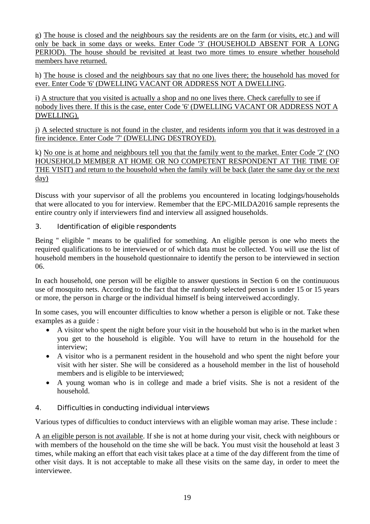g) The house is closed and the neighbours say the residents are on the farm (or visits, etc.) and will only be back in some days or weeks. Enter Code '3' (HOUSEHOLD ABSENT FOR A LONG PERIOD). The house should be revisited at least two more times to ensure whether household members have returned.

h) The house is closed and the neighbours say that no one lives there; the household has moved for ever. Enter Code '6' (DWELLING VACANT OR ADDRESS NOT A DWELLING.

i) A structure that you visited is actually a shop and no one lives there. Check carefully to see if nobody lives there. If this is the case, enter Code '6' (DWELLING VACANT OR ADDRESS NOT A DWELLING).

j) A selected structure is not found in the cluster, and residents inform you that it was destroyed in a fire incidence. Enter Code '7' (DWELLING DESTROYED).

k) No one is at home and neighbours tell you that the family went to the market. Enter Code '2' (NO HOUSEHOLD MEMBER AT HOME OR NO COMPETENT RESPONDENT AT THE TIME OF THE VISIT) and return to the household when the family will be back (later the same day or the next day)

Discuss with your supervisor of all the problems you encountered in locating lodgings/households that were allocated to you for interview. Remember that the EPC-MILDA2016 sample represents the entire country only if interviewers find and interview all assigned households.

# *3. Identification of eligible respondents*

Being " eligible " means to be qualified for something. An eligible person is one who meets the required qualifications to be interviewed or of which data must be collected. You will use the list of household members in the household questionnaire to identify the person to be interviewed in section 06.

In each household, one person will be eligible to answer questions in Section 6 on the continuuous use of mosquito nets. According to the fact that the randomly selected person is under 15 or 15 years or more, the person in charge or the individual himself is being interveiwed accordingly.

In some cases, you will encounter difficulties to know whether a person is eligible or not. Take these examples as a guide :

- A visitor who spent the night before your visit in the household but who is in the market when you get to the household is eligible. You will have to return in the household for the interview;
- A visitor who is a permanent resident in the household and who spent the night before your visit with her sister. She will be considered as a household member in the list of household members and is eligible to be interviewed;
- A young woman who is in college and made a brief visits. She is not a resident of the household.

#### *4. Difficulties in conducting individual interviews*

Various types of difficulties to conduct interviews with an eligible woman may arise. These include :

A an eligible person is not available. If she is not at home during your visit, check with neighbours or with members of the household on the time she will be back. You must visit the household at least 3 times, while making an effort that each visit takes place at a time of the day different from the time of other visit days. It is not acceptable to make all these visits on the same day, in order to meet the interviewee.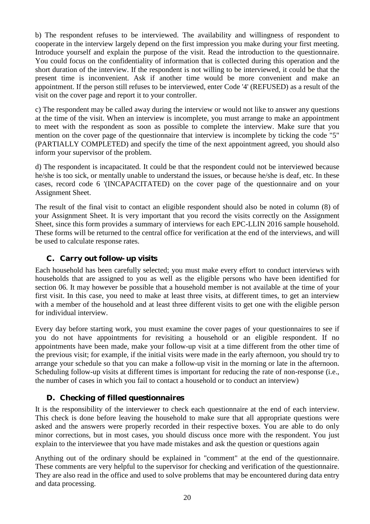b) The respondent refuses to be interviewed. The availability and willingness of respondent to cooperate in the interview largely depend on the first impression you make during your first meeting. Introduce yourself and explain the purpose of the visit. Read the introduction to the questionnaire. You could focus on the confidentiality of information that is collected during this operation and the short duration of the interview. If the respondent is not willing to be interviewed, it could be that the present time is inconvenient. Ask if another time would be more convenient and make an appointment. If the person still refuses to be interviewed, enter Code '4' (REFUSED) as a result of the visit on the cover page and report it to your controller.

c) The respondent may be called away during the interview or would not like to answer any questions at the time of the visit. When an interview is incomplete, you must arrange to make an appointment to meet with the respondent as soon as possible to complete the interview. Make sure that you mention on the cover page of the questionnaire that interview is incomplete by ticking the code "5" (PARTIALLY COMPLETED) and specify the time of the next appointment agreed, you should also inform your supervisor of the problem.

d) The respondent is incapacitated. It could be that the respondent could not be interviewed because he/she is too sick, or mentally unable to understand the issues, or because he/she is deaf, etc. In these cases, record code 6 '(INCAPACITATED) on the cover page of the questionnaire and on your Assignment Sheet.

The result of the final visit to contact an eligible respondent should also be noted in column (8) of your Assignment Sheet. It is very important that you record the visits correctly on the Assignment Sheet, since this form provides a summary of interviews for each EPC-LLIN 2016 sample household. These forms will be returned to the central office for verification at the end of the interviews, and will be used to calculate response rates.

# *C. Carry out follow- up visits*

Each household has been carefully selected; you must make every effort to conduct interviews with households that are assigned to you as well as the eligible persons who have been identified for section 06. It may however be possible that a household member is not available at the time of your first visit. In this case, you need to make at least three visits, at different times, to get an interview with a member of the household and at least three different visits to get one with the eligible person for individual interview.

Every day before starting work, you must examine the cover pages of your questionnaires to see if you do not have appointments for revisiting a household or an eligible respondent. If no appointments have been made, make your follow-up visit at a time different from the other time of the previous visit; for example, if the initial visits were made in the early afternoon, you should try to arrange your schedule so that you can make a follow-up visit in the morning or late in the afternoon. Scheduling follow-up visits at different times is important for reducing the rate of non-response (i.e., the number of cases in which you fail to contact a household or to conduct an interview)

# *D. Checking of filled questionnaires*

It is the responsibility of the interviewer to check each questionnaire at the end of each interview. This check is done before leaving the household to make sure that all appropriate questions were asked and the answers were properly recorded in their respective boxes. You are able to do only minor corrections, but in most cases, you should discuss once more with the respondent. You just explain to the interviewee that you have made mistakes and ask the question or questions again

Anything out of the ordinary should be explained in "comment" at the end of the questionnaire. These comments are very helpful to the supervisor for checking and verification of the questionnaire. They are also read in the office and used to solve problems that may be encountered during data entry and data processing.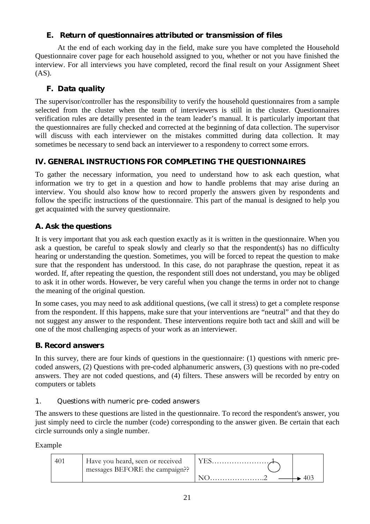# *E. Return of questionnaires attributed or transmission of files*

At the end of each working day in the field, make sure you have completed the Household Questionnaire cover page for each household assigned to you, whether or not you have finished the interview. For all interviews you have completed, record the final result on your Assignment Sheet (AS).

# *F. Data quality*

The supervisor/controller has the responsibility to verify the household questionnaires from a sample selected from the cluster when the team of interviewers is still in the cluster. Questionnaires verification rules are detailly presented in the team leader's manual. It is particularly important that the questionnaires are fully checked and corrected at the beginning of data collection. The supervisor will discuss with each interviewer on the mistakes committed during data collection. It may sometimes be necessary to send back an interviewer to a respondeny to correct some errors.

# **IV. GENERAL INSTRUCTIONS FOR COMPLETING THE QUESTIONNAIRES**

To gather the necessary information, you need to understand how to ask each question, what information we try to get in a question and how to handle problems that may arise during an interview. You should also know how to record properly the answers given by respondents and follow the specific instructions of the questionnaire. This part of the manual is designed to help you get acquainted with the survey questionnaire.

# *A. Ask the questions*

It is very important that you ask each question exactly as it is written in the questionnaire. When you ask a question, be careful to speak slowly and clearly so that the respondent(s) has no difficulty hearing or understanding the question. Sometimes, you will be forced to repeat the question to make sure that the respondent has understood. In this case, do not paraphrase the question, repeat it as worded. If, after repeating the question, the respondent still does not understand, you may be obliged to ask it in other words. However, be very careful when you change the terms in order not to change the meaning of the original question.

In some cases, you may need to ask additional questions, (we call it stress) to get a complete response from the respondent. If this happens, make sure that your interventions are "neutral" and that they do not suggest any answer to the respondent. These interventions require both tact and skill and will be one of the most challenging aspects of your work as an interviewer.

# *B. Record answers*

In this survey, there are four kinds of questions in the questionnaire: (1) questions with nmeric precoded answers, (2) Questions with pre-coded alphanumeric answers, (3) questions with no pre-coded answers. They are not coded questions, and (4) filters. These answers will be recorded by entry on computers or tablets

#### *1. Questions with numeric pre-coded answers*

The answers to these questions are listed in the questionnaire. To record the respondent's answer, you just simply need to circle the number (code) corresponding to the answer given. Be certain that each circle surrounds only a single number.

Example

| 40 <sup>-</sup> | Have you heard, seen or received<br>messages BEFORE the campaign? |  |
|-----------------|-------------------------------------------------------------------|--|
|                 |                                                                   |  |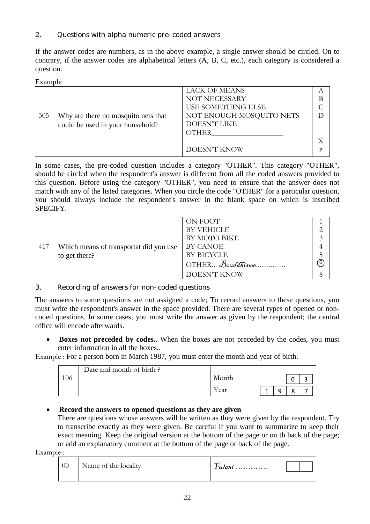# *2. Questions with alpha numeric pre-coded answers*

If the answer codes are numbers, as in the above example, a single answer should be circled. On te contrary, if the answer codes are alphabetical letters (A, B, C, etc.), each category is considered a question.

#### Example

|     |                                     | <b>LACK OF MEANS</b>      |   |
|-----|-------------------------------------|---------------------------|---|
|     |                                     | NOT NECESSARY             | В |
|     |                                     | <b>USE SOMETHING ELSE</b> |   |
| 305 | Why are there no mosquito nets that | NOT ENOUGH MOSQUITO NETS  |   |
|     | could be used in your household?    | DOESN'T LIKE              |   |
|     |                                     | <b>OTHER</b>              |   |
|     |                                     |                           |   |
|     |                                     | DOESN'T KNOW              |   |
|     |                                     |                           |   |

In some cases, the pre-coded question includes a category "OTHER". This category "OTHER", should be circled when the respondent's answer is different from all the coded answers provided to this question. Before using the category "OTHER", you need to ensure that the answer does not match with any of the listed categories. When you circle the code "OTHER" for a particular question, you should always include the respondent's answer in the blank space on which is inscribed SPECIFY.

|     |                                        | ON FOOT                           |   |
|-----|----------------------------------------|-----------------------------------|---|
|     |                                        | <b>BY VEHICLE</b>                 |   |
|     |                                        | BY MOTO BIKE                      |   |
| 417 | Which means of transportat did you use | <b>BY CANOE</b>                   |   |
|     | to get there?                          | BY BICYCLE                        |   |
|     |                                        | $\overline{O}$ THER $B$ ouddhisme | 6 |
|     |                                        | DOESN'T KNOW                      |   |

#### *3. Recording of answers for non-coded questions*

The answers to some questions are not assigned a code; To record answers to these questions, you must write the respondent's answer in the space provided. There are several types of opened or noncoded questions. In some cases, you must write the answer as given by the respondent; the central office will encode afterwards.

 **Boxes not preceded by codes.**. When the boxes are not preceded by the codes, you must enter information in all the boxes..

Example : For a person born in March 1987, you must enter the month and year of birth.

|     | Date and month of birth? |       |   |   |  |
|-----|--------------------------|-------|---|---|--|
| 106 |                          | Month |   |   |  |
|     |                          | Year  | Q | ٥ |  |

# **Record the answers to opened questions as they are given**

There are questions whose answers will be written as they were given by the respondent. Try to transcribe exactly as they were given. Be careful if you want to summarize to keep their exact meaning. Keep the original version at the bottom of the page or on th back of the page; or add an explanatory comment at the bottom of the page or back of the page.

Example :

| 00                   | ≁        |
|----------------------|----------|
| Name of the locality | $tu$ ani |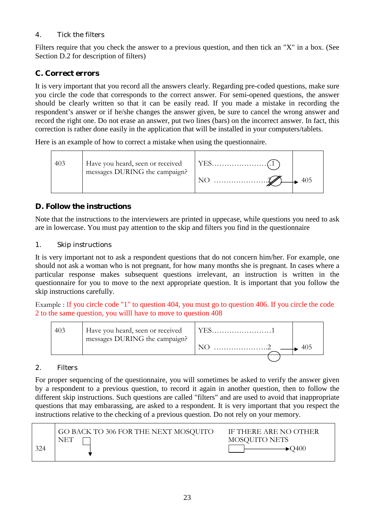# *4. Tick the filters*

Filters require that you check the answer to a previous question, and then tick an "X" in a box. (See Section D.2 for description of filters)

# *C. Correct errors*

It is very important that you record all the answers clearly. Regarding pre-coded questions, make sure you circle the code that corresponds to the correct answer. For semi-opened questions, the answer should be clearly written so that it can be easily read. If you made a mistake in recording the respondent's answer or if he/she changes the answer given, be sure to cancel the wrong answer and record the right one. Do not erase an answer, put two lines (bars) on the incorrect answer. In fact, this correction is rather done easily in the application that will be installed in your computers/tablets.

Here is an example of how to correct a mistake when using the questionnaire.



# *D. Follow the instructions*

Note that the instructions to the interviewers are printed in uppecase, while questions you need to ask are in lowercase. You must pay attention to the skip and filters you find in the questionnaire

# *1. Skip instructions*

It is very important not to ask a respondent questions that do not concern him/her. For example, one should not ask a woman who is not pregnant, for how many months she is pregnant. In cases where a particular response makes subsequent questions irrelevant, an instruction is written in the questionnaire for you to move to the next appropriate question. It is important that you follow the skip instructions carefully.

Example : If you circle code "1" to question 404, you must go to question 406. If you circle the code 2 to the same question, you willl have to move to question 408



# *2. Filters*

For proper sequencing of the questionnaire, you will sometimes be asked to verify the answer given by a respondent to a previous question, to record it again in another question, then to follow the different skip instructions. Such questions are called "filters" and are used to avoid that inappropriate questions that may embarassing, are asked to a respondent. It is very important that you respect the instructions relative to the checking of a previous question. Do not rely on your memory.

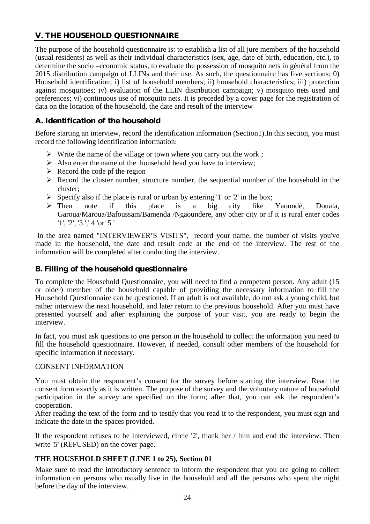# **V. THE HOUSEHOLD QUESTIONNAIRE**

The purpose of the household questionnaire is: to establish a list of all jure members of the household (usual residents) as well as their individual characteristics (sex, age, date of birth, education, etc.), to determine the socio –economic status, to evaluate the possession of mosquito nets in général from the 2015 distribution campaign of LLINs and their use. As such, the questionnaire has five sections: 0) Household identification; i) list of household members; ii) household characteristics; iii) protection against mosquitoes; iv) evaluation of the LLIN distribution campaign; v) mosquito nets used and preferences; vi) continuous use of mosquito nets. It is preceded by a cover page for the registration of data on the location of the household, the date and result of the interview

# *A. Identification of the household*

Before starting an interview, record the identification information (Section1). In this section, you must record the following identification information:

- $\triangleright$  Write the name of the village or town where you carry out the work;
- $\triangleright$  Also enter the name of the household head you have to interview;
- $\triangleright$  Record the code pf the region
- $\triangleright$  Record the cluster number, structure number, the sequential number of the household in the cluster;
- Specify also if the place is rural or urban by entering '1' or '2' in the box;<br>
So Then note if this place is a big city like
- Then note if this place is a big city like Yaoundé, Douala, Garoua/Maroua/Bafoussam/Bamenda /Ngaoundere, any other city or if it is rural enter codes '1', '2', '3 ',' 4 'or' 5 '

In the area named "INTERVIEWER'S VISITS", record your name, the number of visits you've made in the household, the date and result code at the end of the interview. The rest of the information will be completed after conducting the interview.

#### *B. Filling of the household questionnaire*

To complete the Household Questionnaire, you will need to find a competent person. Any adult (15 or older) member of the household capable of providing the necessary information to fill the Household Questionnaire can be questioned. If an adult is not available, do not ask a young child, but rather interview the next household, and later return to the previous household. After you must have presented yourself and after explaining the purpose of your visit, you are ready to begin the interview.

In fact, you must ask questions to one person in the household to collect the information you need to fill the household questionnaire. However, if needed, consult other members of the household for specific information if necessary.

#### CONSENT INFORMATION

You must obtain the respondent's consent for the survey before starting the interview. Read the consent form exactly as it is written. The purpose of the survey and the voluntary nature of household participation in the survey are specified on the form; after that, you can ask the respondent's cooperation.

After reading the text of the form and to testify that you read it to the respondent, you must sign and indicate the date in the spaces provided.

If the respondent refuses to be interviewed, circle '2', thank her / him and end the interview. Then write '5' (REFUSED) on the cover page.

#### **THE HOUSEHOLD SHEET (LINE 1 to 25), Section 01**

Make sure to read the introductory sentence to inform the respondent that you are going to collect information on persons who usually live in the household and all the persons who spent the night before the day of the interview.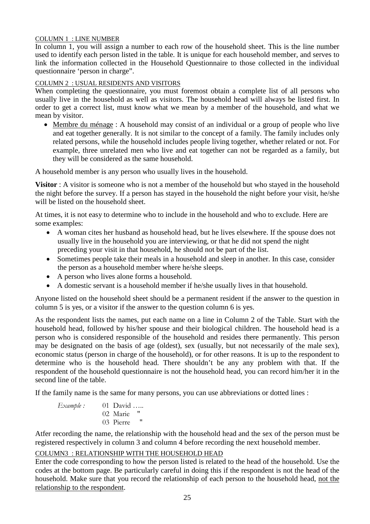#### COLUMN 1 : LINE NUMBER

In column 1, you will assign a number to each row of the household sheet. This is the line number used to identify each person listed in the table. It is unique for each household member, and serves to link the information collected in the Household Questionnaire to those collected in the individual questionnaire 'person in charge".

#### COLUMN 2 : USUAL RESIDENTS AND VISITORS

When completing the questionnaire, you must foremost obtain a complete list of all persons who usually live in the household as well as visitors. The household head will always be listed first. In order to get a correct list, must know what we mean by a member of the household, and what we mean by visitor.

• Membre du ménage : A household may consist of an individual or a group of people who live and eat together generally. It is not similar to the concept of a family. The family includes only related persons, while the household includes people living together, whether related or not. For example, three unrelated men who live and eat together can not be regarded as a family, but they will be considered as the same household.

A household member is any person who usually lives in the household.

**Visitor** : A visitor is someone who is not a member of the household but who stayed in the household the night before the survey. If a person has stayed in the household the night before your visit, he/she will be listed on the household sheet.

At times, it is not easy to determine who to include in the household and who to exclude. Here are some examples:

- A woman cites her husband as household head, but he lives elsewhere. If the spouse does not usually live in the household you are interviewing, or that he did not spend the night preceding your visit in that household, he should not be part of the list.
- Sometimes people take their meals in a household and sleep in another. In this case, consider the person as a household member where he/she sleeps.
- A person who lives alone forms a household.
- A domestic servant is a household member if he/she usually lives in that household.

Anyone listed on the household sheet should be a permanent resident if the answer to the question in column 5 is yes, or a visitor if the answer to the question column 6 is yes.

As the respondent lists the names, put each name on a line in Column 2 of the Table. Start with the household head, followed by his/her spouse and their biological children. The household head is a person who is considered responsible of the household and resides there permanently. This person may be designated on the basis of age (oldest), sex (usually, but not necessarily of the male sex), economic status (person in charge of the household), or for other reasons. It is up to the respondent to determine who is the household head. There shouldn't be any any problem with that. If the respondent of the household questionnaire is not the household head, you can record him/her it in the second line of the table.

If the family name is the same for many persons, you can use abbreviations or dotted lines :

*Example :* 01 David ….. 02 Marie " 03 Pierre

Atfer recording the name, the relationship with the household head and the sex of the person must be registered respectively in column 3 and column 4 before recording the next household member.

#### COLUMN3 : RELATIONSHIP WITH THE HOUSEHOLD HEAD

Enter the code corresponding to how the person listed is related to the head of the household. Use the codes at the bottom page. Be particularly careful in doing this if the respondent is not the head of the household. Make sure that you record the relationship of each person to the household head, not the relationship to the respondent.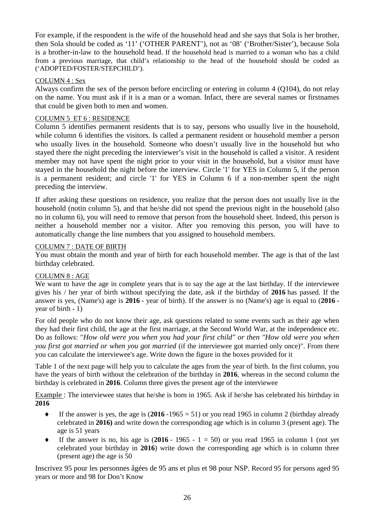For example, if the respondent is the wife of the household head and she says that Sola is her brother, then Sola should be coded as '11' ('OTHER PARENT'), not as '08' ('Brother/Sister'), because Sola is a brother-in-law to the household head. If the household head is married to a woman who has a child from a previous marriage, that child's relationship to the head of the household should be coded as ('ADOPTED/FOSTER/STEPCHILD').

#### COLUMN 4 : Sex

Always confirm the sex of the person before encircling or entering in column 4 (Q104), do not relay on the name. You must ask if it is a man or a woman. Infact, there are several names or firstnames that could be given both to men and women.

#### COLUMN 5 ET 6 : RESIDENCE

Column 5 identifies permanent residents that is to say, persons who usually live in the household, while column 6 identifies the visitors. Is called a permanent resident or household member a person who usually lives in the household. Someone who doesn't usually live in the household but who stayed there the night preceding the interviewer's visit in the household is called a visitor. A resident member may not have spent the night prior to your visit in the household, but a visitor must have stayed in the household the night before the interview. Circle '1' for YES in Column 5, if the person is a permanent resident; and circle '1' for YES in Column 6 if a non-member spent the night preceding the interview.

If after asking these questions on residence, you realize that the person does not usually live in the household (notin column 5), and that he/she did not spend the previous night in the household (also no in column 6), you will need to remove that person from the household sheet. Indeed, this person is neither a household member nor a visitor. After you removing this person, you will have to automatically change the line numbers that you assigned to household members.

#### COLUMN 7 : DATE OF BIRTH

You must obtain the month and year of birth for each household member. The age is that of the last birthday celebrated.

#### COLUMN 8 : AGE

We want to have the age in complete years that is to say the age at the last birthday. If the interviewee gives his / her year of birth without specifying the date, ask if the birthday of **2016** has passed. If the answer is yes, (Name's) age is **2016** - year of birth). If the answer is no (Name's) age is equal to (**2016** year of birth - 1)

For old people who do not know their age, ask questions related to some events such as their age when they had their first child, the age at the first marriage, at the Second World War, at the independence etc. Do as follows: "*How old were you when you had your first child" or then "How old were you when you first got married or when you got married* (if the interviewee got married only once)". From there you can calculate the interviewee's age. Write down the figure in the boxes provided for it

Table 1 of the next page will help you to calculate the ages from the year of birth. In the first column, you have the years of birth without the celebration of the birthday in **2016**, whereas in the second column the birthday is celebrated in **2016**. Column three gives the present age of the interviewee

Example : The interviewee states that he/she is born in 1965. Ask if he/she has celebrated his birthday in **2016**

- If the answer is yes, the age is  $(2016 1965 = 51)$  or you read 1965 in column 2 (birthday already celebrated in **2016)** and write down the corresponding age which is in column 3 (present age). The age is 51 years
- $\bullet$  If the answer is no, his age is (2016 1965 1 = 50) or you read 1965 in column 1 (not yet celebrated your birthday in **2016**) write down the corresponding age which is in column three (present age) the age is 50

Inscrivez 95 pour les personnes âgées de 95 ans et plus et 98 pour NSP. Record 95 for persons aged 95 years or more and 98 for Don't Know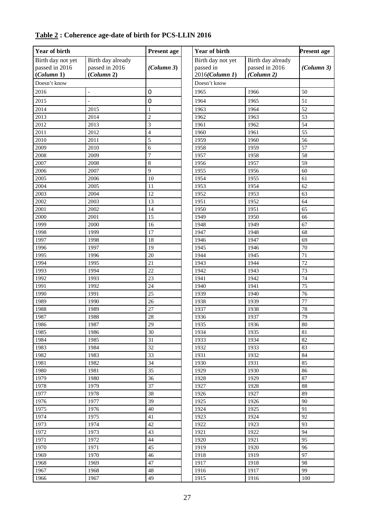| <b>Year of birth</b>                              |                                                   | <b>Present age</b> | Year of birth                                    | <b>Present age</b>                                |            |
|---------------------------------------------------|---------------------------------------------------|--------------------|--------------------------------------------------|---------------------------------------------------|------------|
| Birth day not yet<br>passed in 2016<br>(Column 1) | Birth day already<br>passed in 2016<br>(Column 2) | (Column 3)         | Birth day not yet<br>passed in<br>2016(Column 1) | Birth day already<br>passed in 2016<br>(Column 2) | (Column 3) |
| Doesn't know                                      |                                                   |                    | Doesn't know                                     |                                                   |            |
| 2016                                              | $\overline{\phantom{a}}$                          | $\boldsymbol{0}$   | 1965                                             | 1966                                              | 50         |
| 2015                                              |                                                   | $\mathbf 0$        | 1964                                             | 1965                                              | 51         |
| 2014                                              | 2015                                              | $\mathbf{1}$       | 1963                                             | 1964                                              | 52         |
| 2013                                              | 2014                                              | $\overline{c}$     | 1962                                             | 1963                                              | 53         |
| 2012                                              | 2013                                              | 3                  | 1961                                             | 1962                                              | 54         |
| 2011                                              | 2012                                              | $\overline{4}$     | 1960                                             | 1961                                              | 55         |
| 2010                                              | 2011                                              | 5                  | 1959                                             | 1960                                              | 56         |
| 2009                                              | 2010                                              | 6                  | 1958                                             | 1959                                              | 57         |
| 2008                                              | 2009                                              | $\overline{7}$     | 1957                                             | 1958                                              | 58         |
| 2007                                              | 2008                                              | $\,8\,$            | 1956                                             | 1957                                              | 59         |
| 2006                                              | 2007                                              | 9                  | 1955                                             | 1956                                              | 60         |
| 2005                                              | 2006                                              | 10                 | 1954                                             | 1955                                              | 61         |
| 2004                                              | 2005                                              | 11                 | 1953                                             | 1954                                              | 62         |
| 2003                                              | 2004                                              | 12                 | 1952                                             | 1953                                              | 63         |
| 2002                                              | 2003                                              | 13                 | 1951                                             | 1952                                              | 64         |
| 2001                                              | 2002                                              | 14                 | 1950                                             | 1951                                              | 65         |
| 2000                                              | 2001                                              | 15                 | 1949                                             | 1950                                              | 66         |
| 1999                                              | 2000                                              | 16                 | 1948                                             | 1949                                              | 67         |
| 1998                                              | 1999                                              | 17                 | 1947                                             | 1948                                              | 68         |
| 1997                                              | 1998                                              | $\overline{18}$    | 1946                                             | 1947                                              | 69         |
| 1996                                              | 1997                                              | $\overline{19}$    | 1945                                             | 1946                                              | 70         |
| 1995                                              | 1996                                              | 20                 | 1944                                             | 1945                                              | 71         |
| 1994                                              | 1995                                              | 21                 | 1943                                             | 1944                                              | 72         |
| 1993                                              | 1994                                              | 22                 | 1942                                             | 1943                                              | 73         |
| 1992                                              | 1993                                              | 23                 | 1941                                             | 1942                                              | 74         |
| 1991                                              | 1992                                              | 24                 | 1940                                             | 1941                                              | 75         |
| 1990                                              | 1991                                              | 25                 | 1939                                             | 1940                                              | 76         |
| 1989                                              | 1990                                              | 26                 | 1938                                             | 1939                                              | 77         |
| 1988                                              | 1989                                              | 27                 | 1937                                             | 1938                                              | 78         |
| 1987                                              | 1988                                              | 28                 | 1936                                             | 1937                                              | 79         |
| 1986                                              | 1987                                              | 29                 | 1935                                             | 1936                                              | $80\,$     |
| 1985                                              | 1986                                              | 30                 | 1934                                             | 1935                                              | 81         |
| 1984                                              | 1985                                              | 31                 | 1933                                             | 1934                                              | 82         |
| 1983                                              | 1984                                              | 32                 | 1932                                             | 1933                                              | 83         |
| 1982                                              | 1983                                              | 33                 | 1931                                             | 1932                                              | 84         |
| 1981                                              | 1982                                              | 34                 | 1930                                             | 1931                                              | 85         |
| 1980                                              | 1981                                              | 35                 | 1929                                             | 1930                                              | 86         |
| 1979                                              | 1980                                              | 36                 | 1928                                             | 1929                                              | 87         |
| 1978                                              | 1979                                              | 37                 | 1927                                             | 1928                                              | 88         |
| 1977                                              | 1978                                              | 38                 | 1926                                             | 1927                                              | 89         |
| 1976                                              | 1977                                              | 39                 | 1925                                             | 1926                                              | 90         |
| 1975                                              | 1976                                              | $40\,$             | 1924                                             | 1925                                              | 91         |
| 1974                                              | 1975                                              | 41                 | 1923                                             | 1924                                              | 92         |
| 1973                                              | 1974                                              | 42                 | 1922                                             | 1923                                              | 93         |
| 1972                                              | 1973                                              | 43                 | 1921                                             | 1922                                              | 94         |
| 1971                                              | 1972                                              | 44                 | 1920                                             | 1921                                              | 95         |
| 1970                                              | 1971                                              | 45                 | 1919                                             | 1920                                              | 96         |
| 1969                                              | 1970                                              | 46                 | 1918                                             | 1919                                              | 97         |
| 1968                                              | 1969                                              | 47                 | 1917                                             | 1918                                              | 98         |
| 1967                                              | 1968                                              | 48                 | 1916                                             | 1917                                              | 99         |
| 1966                                              | 1967                                              | 49                 | 1915                                             | 1916                                              | 100        |

# **Table 2 : Coherence age-date of birth for PCS-LLIN 2016**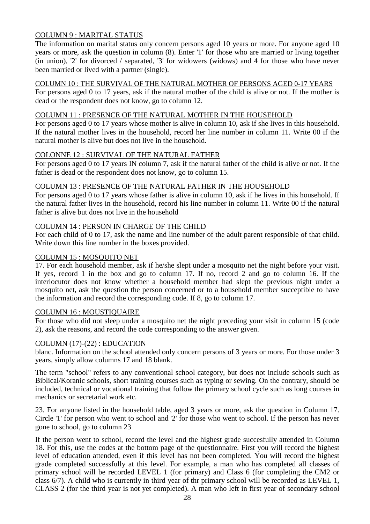### COLUMN 9 : MARITAL STATUS

The information on marital status only concern persons aged 10 years or more. For anyone aged 10 years or more, ask the question in column (8). Enter '1' for those who are married or living together (in union), '2' for divorced / separated, '3' for widowers (widows) and 4 for those who have never been married or lived with a partner (single).

#### COLUMN 10 : THE SURVIVAL OF THE NATURAL MOTHER OF PERSONS AGED 0-17 YEARS

For persons aged 0 to 17 years, ask if the natural mother of the child is alive or not. If the mother is dead or the respondent does not know, go to column 12.

#### COLUMN 11 : PRESENCE OF THE NATURAL MOTHER IN THE HOUSEHOLD

For persons aged 0 to 17 years whose mother is alive in column 10, ask if she lives in this household. If the natural mother lives in the household, record her line number in column 11. Write 00 if the natural mother is alive but does not live in the household.

#### COLONNE 12 : SURVIVAL OF THE NATURAL FATHER

For persons aged 0 to 17 years IN column 7, ask if the natural father of the child is alive or not. If the father is dead or the respondent does not know, go to column 15.

#### COLUMN 13 : PRESENCE OF THE NATURAL FATHER IN THE HOUSEHOLD

For persons aged 0 to 17 years whose father is alive in column 10, ask if he lives in this household. If the natural father lives in the household, record his line number in column 11. Write 00 if the natural father is alive but does not live in the household

#### COLUMN 14 : PERSON IN CHARGE OF THE CHILD

For each child of 0 to 17, ask the name and line number of the adult parent responsible of that child. Write down this line number in the boxes provided.

#### COLUMN 15 : MOSQUITO NET

17. For each household member, ask if he/she slept under a mosquito net the night before your visit. If yes, record 1 in the box and go to column 17. If no, record 2 and go to column 16. If the interlocutor does not know whether a household member had slept the previous night under a mosquito net, ask the question the person concerned or to a household member succeptible to have the information and record the corresponding code. If 8, go to column 17.

#### COLUMN 16 : MOUSTIQUAIRE

For those who did not sleep under a mosquito net the night preceding your visit in column 15 (code 2), ask the reasons, and record the code corresponding to the answer given.

#### COLUMN (17)-(22) : EDUCATION

blanc. Information on the school attended only concern persons of 3 years or more. For those under 3 years, simply allow columns 17 and 18 blank.

The term "school" refers to any conventional school category, but does not include schools such as Biblical/Koranic schools, short training courses such as typing or sewing. On the contrary, should be included, technical or vocational training that follow the primary school cycle such as long courses in mechanics or secretarial work etc.

23. For anyone listed in the household table, aged 3 years or more, ask the question in Column 17. Circle '1' for person who went to school and '2' for those who went to school. If the person has never gone to school, go to column 23

If the person went to school, record the level and the highest grade succesfully attended in Column 18. For this, use the codes at the bottom page of the questionnaire. First you will record the highest level of education attended, even if this level has not been completed. You will record the highest grade completed successfully at this level. For example, a man who has completed all classes of primary school will be recorded LEVEL 1 (for primary) and Class 6 (for completing the CM2 or class 6/7). A child who is currently in third year of thr primary school will be recorded as LEVEL 1, CLASS 2 (for the third year is not yet completed). A man who left in first year of secondary school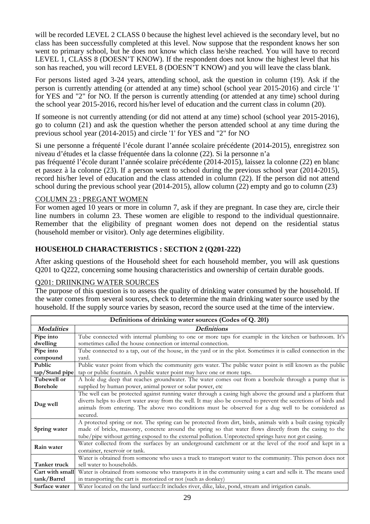will be recorded LEVEL 2 CLASS 0 because the highest level achieved is the secondary level, but no class has been successfully completed at this level. Now suppose that the respondent knows her son went to primary school, but he does not know which class he/she reached. You will have to record LEVEL 1, CLASS 8 (DOESN'T KNOW). If the respondent does not know the highest level that his son has reached, you will record LEVEL 8 (DOESN'T KNOW) and you will leave the class blank.

For persons listed aged 3-24 years, attending school, ask the question in column (19). Ask if the person is currently attending (or attended at any time) school (school year 2015-2016) and circle '1' for YES and "2" for NO. If the person is currently attending (or attended at any time) school during the school year 2015-2016, record his/her level of education and the current class in column (20).

If someone is not currently attending (or did not attend at any time) school (school year 2015-2016), go to column (21) and ask the question whether the person attended school at any time during the previous school year (2014-2015) and circle '1' for YES and "2" for NO

Si une personne a fréquenté l'école durant l'année scolaire précédente (2014-2015), enregistrez son niveau d'études et la classe fréquentée dans la colonne (22). Si la personne n'a

pas fréquenté l'école durant l'année scolaire précédente (2014-2015), laissez la colonne (22) en blanc et passez à la colonne (23). If a person went to school during the previous school year (2014-2015), record his/her level of education and the class attended in column (22). If the person did not attend school during the previous school year (2014-2015), allow column (22) empty and go to column (23)

#### COLUMN 23 : PREGANT WOMEN

For women aged 10 years or more in column 7, ask if they are pregnant. In case they are, circle their line numbers in column 23. These women are eligible to respond to the individual questionnaire. Remember that the eligibility of pregnant women does not depend on the residential status (household member or visitor). Only age determines eligibility.

#### **HOUSEHOLD CHARACTERISTICS : SECTION 2 (Q201-222)**

After asking questions of the Household sheet for each household member, you will ask questions Q201 to Q222, concerning some housing characteristics and ownership of certain durable goods.

#### Q201: DRIINKING WATER SOURCES

The purpose of this question is to assess the quality of drinking water consumed by the household. If the water comes from several sources, check to determine the main drinking water source used by the household. If the supply source varies by season, record the source used at the time of the interview.

|                   | Definitions of drinking water sources (Codes of Q. 201)                                                         |  |  |  |  |  |  |  |
|-------------------|-----------------------------------------------------------------------------------------------------------------|--|--|--|--|--|--|--|
| <b>Modalities</b> | <b>Definitions</b>                                                                                              |  |  |  |  |  |  |  |
| Pipe into         | Tube connected with internal plumbing to one or more taps for example in the kitchen or bathroom. It's          |  |  |  |  |  |  |  |
| dwelling          | sometimes called the house connection or internal connection.                                                   |  |  |  |  |  |  |  |
| Pipe into         | Tube connected to a tap, out of the house, in the yard or in the plot. Sometimes it is called connection in the |  |  |  |  |  |  |  |
| compound          | vard.                                                                                                           |  |  |  |  |  |  |  |
| Public            | Public water point from which the community gets water. The public water point is still known as the public     |  |  |  |  |  |  |  |
| tap/Stand pipe    | tap or public fountain. A public water point may have one or more taps.                                         |  |  |  |  |  |  |  |
| Tubewell or       | A hole dug deep that reaches groundwater. The water comes out from a borehole through a pump that is            |  |  |  |  |  |  |  |
| <b>Borehole</b>   | supplied by human power, animal power or solar power, etc                                                       |  |  |  |  |  |  |  |
|                   | The well can be protected against running water through a casing high above the ground and a platform that      |  |  |  |  |  |  |  |
| Dug well          | diverts helps to divert water away from the well. It may also be covered to prevent the secretions of birds and |  |  |  |  |  |  |  |
|                   | animals from entering. The above two conditions must be observed for a dug well to be considered as             |  |  |  |  |  |  |  |
|                   | secured.                                                                                                        |  |  |  |  |  |  |  |
|                   | A protected spring or not. The spring can be protected from dirt, birds, animals with a built casing typically  |  |  |  |  |  |  |  |
| Spring water      | made of bricks, masonry, concrete around the spring so that water flows directly from the casing to the         |  |  |  |  |  |  |  |
|                   | tube/pipe without getting exposed to the external pollution. Unprotected springs have not got casing.           |  |  |  |  |  |  |  |
| Rain water        | Water collected from the surfaces by an underground catchment or at the level of the roof and kept in a         |  |  |  |  |  |  |  |
|                   | container, reservoir or tank.                                                                                   |  |  |  |  |  |  |  |
|                   | Water is obtained from someone who uses a truck to transport water to the community. This person does not       |  |  |  |  |  |  |  |
| Tanker truck      | sell water to households.                                                                                       |  |  |  |  |  |  |  |
| Cart with small   | Water is obtained from someone who transports it in the community using a cart and sells it. The means used     |  |  |  |  |  |  |  |
| tank/Barrel       | in transporting the cart is motorized or not (such as donkey)                                                   |  |  |  |  |  |  |  |
| Surface water     | Water located on the land surface:: It includes river, dike, lake, pond, stream and irrigation canals.          |  |  |  |  |  |  |  |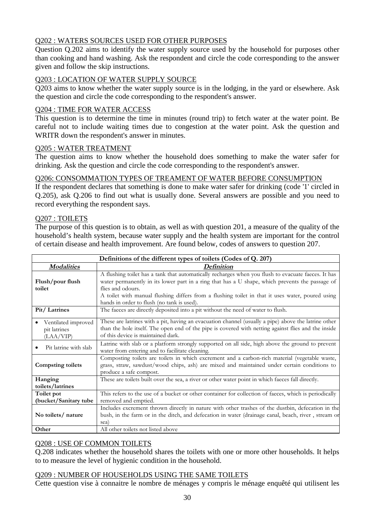# Q202 : WATERS SOURCES USED FOR OTHER PURPOSES

Question Q.202 aims to identify the water supply source used by the household for purposes other than cooking and hand washing. Ask the respondent and circle the code corresponding to the answer given and follow the skip instructions.

# Q203 : LOCATION OF WATER SUPPLY SOURCE

Q203 aims to know whether the water supply source is in the lodging, in the yard or elsewhere. Ask the question and circle the code corresponding to the respondent's answer.

# Q204 : TIME FOR WATER ACCESS

This question is to determine the time in minutes (round trip) to fetch water at the water point. Be careful not to include waiting times due to congestion at the water point. Ask the question and WRITR down the respondent's answer in minutes.

#### Q205 : WATER TREATMENT

The question aims to know whether the household does something to make the water safer for drinking. Ask the question and circle the code corresponding to the respondent's answer.

# Q206: CONSOMMATION TYPES OF TREAMENT OF WATER BEFORE CONSUMPTION

If the respondent declares that something is done to make water safer for drinking (code '1' circled in Q.205), ask Q.206 to find out what is usually done. Several answers are possible and you need to record everything the respondent says.

# Q207 : TOILETS

The purpose of this question is to obtain, as well as with question 201, a measure of the quality of the household's health system, because water supply and the health system are important for the control of certain disease and health improvement. Are found below, codes of answers to question 207.

|                                                  | Definitions of the different types of toilets (Codes of Q. 207)                                                                                                                                                                                                                                                                                                                                                                                                   |  |  |  |  |  |  |  |
|--------------------------------------------------|-------------------------------------------------------------------------------------------------------------------------------------------------------------------------------------------------------------------------------------------------------------------------------------------------------------------------------------------------------------------------------------------------------------------------------------------------------------------|--|--|--|--|--|--|--|
| <b>Modalities</b>                                | Definition                                                                                                                                                                                                                                                                                                                                                                                                                                                        |  |  |  |  |  |  |  |
| Flush/pour flush<br>toilet<br>Pit/Latrines       | A flushing toilet has a tank that automatically recharges when you flush to evacuate faeces. It has<br>water permanently in its lower part in a ring that has a U shape, which prevents the passage of<br>flies and odours.<br>A toilet with manual flushing differs from a flushing toilet in that it uses water, poured using<br>hands in order to flush (no tank is used).<br>The faeces are directly deposited into a pit without the need of water to flush. |  |  |  |  |  |  |  |
| Ventilated improved<br>pit latrines<br>(LAA/VIP) | These are latrines with a pit, having an evacuation channel (usually a pipe) above the latrine other<br>than the hole itself. The open end of the pipe is covered with netting against flies and the inside<br>of this device is maintained dark.                                                                                                                                                                                                                 |  |  |  |  |  |  |  |
| Pit latrine with slab                            | Latrine with slab or a platform strongly supported on all side, high above the ground to prevent<br>water from entering and to facilitate cleaning.                                                                                                                                                                                                                                                                                                               |  |  |  |  |  |  |  |
| <b>Compsting toilets</b>                         | Composting toilets are toilets in which excrement and a carbon-rich material (vegetable waste,<br>grass, straw, sawdust/wood chips, ash) are mixed and maintained under certain conditions to<br>produce a safe compost.                                                                                                                                                                                                                                          |  |  |  |  |  |  |  |
| Hanging                                          | These are toilets built over the sea, a river or other water point in which faeces fall directly.                                                                                                                                                                                                                                                                                                                                                                 |  |  |  |  |  |  |  |
| toilets/latrines                                 |                                                                                                                                                                                                                                                                                                                                                                                                                                                                   |  |  |  |  |  |  |  |
| Toilet pot                                       | This refers to the use of a bucket or other container for collection of faeces, which is periodically                                                                                                                                                                                                                                                                                                                                                             |  |  |  |  |  |  |  |
| (bucket/Sanitary tube                            | removed and emptied.                                                                                                                                                                                                                                                                                                                                                                                                                                              |  |  |  |  |  |  |  |
| No toilets/ nature                               | Includes excrement thrown directly in nature with other trashes of the dustbin, defecation in the<br>bush, in the farm or in the ditch, and defecation in water (drainage canal, beach, river, stream or<br>sea)                                                                                                                                                                                                                                                  |  |  |  |  |  |  |  |
| Other                                            | All other toilets not listed above                                                                                                                                                                                                                                                                                                                                                                                                                                |  |  |  |  |  |  |  |

# Q208 : USE OF COMMON TOILETS

Q.208 indicates whether the household shares the toilets with one or more other households. It helps to to measure the level of hygienic condition in the household.

#### Q209 : NUMBER OF HOUSEHOLDS USING THE SAME TOILETS

Cette question vise à connaitre le nombre de ménages y compris le ménage enquêté qui utilisent les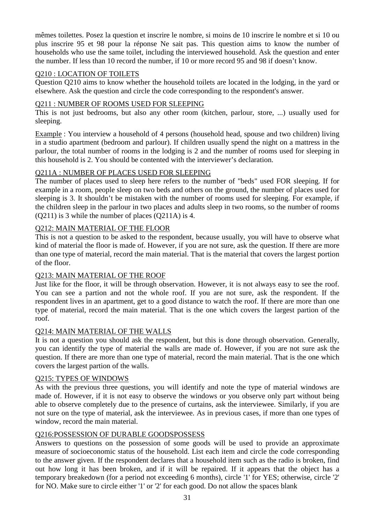mêmes toilettes. Posez la question et inscrire le nombre, si moins de 10 inscrire le nombre et si 10 ou plus inscrire 95 et 98 pour la réponse Ne sait pas. This question aims to know the number of households who use the same toilet, including the interviewed household. Ask the question and enter the number. If less than 10 record the number, if 10 or more record 95 and 98 if doesn't know.

### Q210 : LOCATION OF TOILETS

Question Q210 aims to know whether the household toilets are located in the lodging, in the yard or elsewhere. Ask the question and circle the code corresponding to the respondent's answer.

### Q211 : NUMBER OF ROOMS USED FOR SLEEPING

This is not just bedrooms, but also any other room (kitchen, parlour, store, ...) usually used for sleeping.

Example : You interview a household of 4 persons (household head, spouse and two children) living in a studio apartment (bedroom and parlour). If children usually spend the night on a mattress in the parlour, the total number of rooms in the lodging is 2 and the number of rooms used for sleeping in this household is 2. You should be contented with the interviewer's declaration.

# Q211A : NUMBER OF PLACES USED FOR SLEEPING

The number of places used to sleep here refers to the number of "beds" used FOR sleeping. If for example in a room, people sleep on two beds and others on the ground, the number of places used for sleeping is 3. It shouldn't be mistaken with the number of rooms used for sleeping. For example, if the children sleep in the parlour in two places and adults sleep in two rooms, so the number of rooms (Q211) is 3 while the number of places (Q211A) is 4.

#### Q212: MAIN MATERIAL OF THE FLOOR

This is not a question to be asked to the respondent, because usually, you will have to observe what kind of material the floor is made of. However, if you are not sure, ask the question. If there are more than one type of material, record the main material. That is the material that covers the largest portion of the floor.

#### Q213: MAIN MATERIAL OF THE ROOF

Just like for the floor, it will be through observation. However, it is not always easy to see the roof. You can see a partion and not the whole roof. If you are not sure, ask the respondent. If the respondent lives in an apartment, get to a good distance to watch the roof. If there are more than one type of material, record the main material. That is the one which covers the largest partion of the roof.

#### Q214: MAIN MATERIAL OF THE WALLS

It is not a question you should ask the respondent, but this is done through observation. Generally, you can identify the type of material the walls are made of. However, if you are not sure ask the question. If there are more than one type of material, record the main material. That is the one which covers the largest partion of the walls.

#### Q215: TYPES OF WINDOWS

As with the previous three questions, you will identify and note the type of material windows are made of. However, if it is not easy to observe the windows or you observe only part without being able to observe completely due to the presence of curtains, ask the interviewee. Similarly, if you are not sure on the type of material, ask the interviewee. As in previous cases, if more than one types of window, record the main material.

#### Q216:POSSESSION OF DURABLE GOODSPOSSESS

Answers to questions on the possession of some goods will be used to provide an approximate measure of socioeconomic status of the household. List each item and circle the code corresponding to the answer given. If the respondent declares that a household item such as the radio is broken, find out how long it has been broken, and if it will be repaired. If it appears that the object has a temporary breakedown (for a period not exceeding 6 months), circle '1' for YES; otherwise, circle '2' for NO. Make sure to circle either '1' or '2' for each good. Do not allow the spaces blank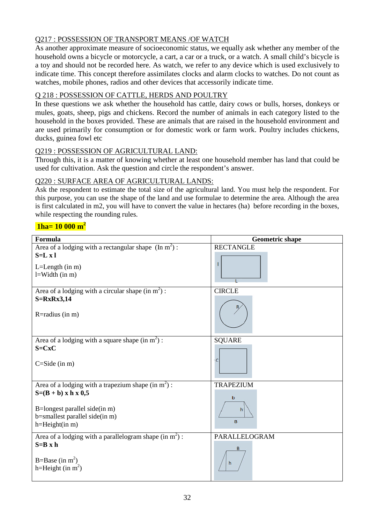# Q217 : POSSESSION OF TRANSPORT MEANS /OF WATCH

As another approximate measure of socioeconomic status, we equally ask whether any member of the household owns a bicycle or motorcycle, a cart, a car or a truck, or a watch. A small child's bicycle is a toy and should not be recorded here. As watch, we refer to any device which is used exclusively to indicate time. This concept therefore assimilates clocks and alarm clocks to watches. Do not count as watches, mobile phones, radios and other devices that accessorily indicate time.

# Q 218 : POSSESSION OF CATTLE, HERDS AND POULTRY

In these questions we ask whether the household has cattle, dairy cows or bulls, horses, donkeys or mules, goats, sheep, pigs and chickens. Record the number of animals in each category listed to the household in the boxes provided. These are animals that are raised in the household environment and are used primarily for consumption or for domestic work or farm work. Poultry includes chickens, ducks, guinea fowl etc

#### Q219 : POSSESSION OF AGRICULTURAL LAND:

Through this, it is a matter of knowing whether at least one household member has land that could be used for cultivation. Ask the question and circle the respondent's answer.

#### Q220 : SURFACE AREA OF AGRICULTURAL LANDS:

Ask the respondent to estimate the total size of the agricultural land. You must help the respondent. For this purpose, you can use the shape of the land and use formulae to determine the area. Although the area is first calculated in m2, you will have to convert the value in hectares (ha) before recording in the boxes, while respecting the rounding rules.

# **1ha= 10 000 m<sup>2</sup>**

| Formula                                                         | <b>Geometric shape</b> |
|-----------------------------------------------------------------|------------------------|
| Area of a lodging with a rectangular shape $(\text{In } m^2)$ : | <b>RECTANGLE</b>       |
| $S=L x l$                                                       |                        |
| $L=Length(in m)$                                                |                        |
| $l=Width$ (in m)                                                |                        |
| Area of a lodging with a circular shape $(in m2)$ :             | <b>CIRCLE</b>          |
| $S=RxRx3,14$                                                    |                        |
| R=radius (in m)                                                 |                        |
|                                                                 |                        |
| Area of a lodging with a square shape $(in m2)$ :               | <b>SQUARE</b>          |
| $S=CxC$                                                         |                        |
| $C = Side (in m)$                                               | c                      |
|                                                                 |                        |
| Area of a lodging with a trapezium shape $(in m2)$ :            | <b>TRAPEZIUM</b>       |
| $S=(B + b) \times h \times 0,5$                                 | b                      |
| B=longest parallel side(in m)                                   | h                      |
| b=smallest parallel side(in m)                                  |                        |
| $h=Height(in m)$                                                | B                      |
| Area of a lodging with a parallelogram shape $(in m2)$ :        | PARALLELOGRAM          |
| $S=B \times h$                                                  |                        |
| B=Base (in $m^2$ )                                              | h                      |
| h=Height (in $m^2$ )                                            |                        |
|                                                                 |                        |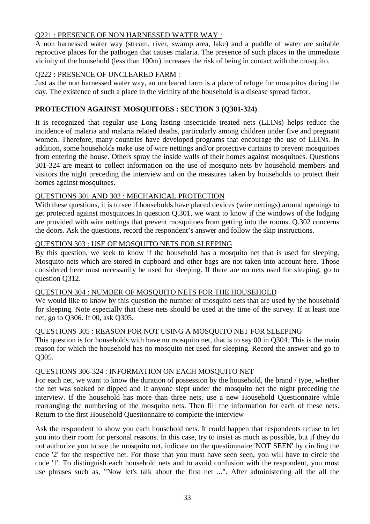#### Q221 : PRESENCE OF NON HARNESSED WATER WAY :

A non harnessed water way (stream, river, swamp area, lake) and a puddle of water are suitable reproctive places for the pathogen that causes malaria. The presence of such places in the immediate vicinity of the household (less than 100m) increases the risk of being in contact with the mosquito.

#### Q222 : PRESENCE OF UNCLEARED FARM :

Just as the non harnessed water way, an uncleared farm is a place of refuge for mosquitos during the day. The existence of such a place in the vicinity of the household is a disease spread factor.

#### **PROTECTION AGAINST MOSQUITOES : SECTION 3 (Q301-324)**

It is recognized that regular use Long lasting insecticide treated nets (LLINs) helps reduce the incidence of malaria and malaria related deaths, particularly among children under five and pregnant women. Therefore, many countries have developed programs that encourage the use of LLINs. In addition, some households make use of wire nettings and/or protective curtains to prevent mosquitoes from entering the house. Others spray the inside walls of their homes against mosquitoes. Questions 301-324 are meant to collect information on the use of mosquito nets by household members and visitors the night preceding the interview and on the measures taken by households to protect their homes against mosquitoes.

#### QUESTIONS 301 AND 302 : MECHANICAL PROTECTION

With these questions, it is to see if households have placed devices (wire nettings) around openings to get protected against mosquitoes.In question Q.301, we want to know if the windows of the lodging are provided with wire nettings that prevent mosquitoes from getting into the rooms. Q.302 concerns the doors. Ask the questions, record the respondent's answer and follow the skip instructions.

#### QUESTION 303 : USE OF MOSQUITO NETS FOR SLEEPING

By this question, we seek to know if the household has a mosquito net that is used for sleeping. Mosquito nets which are stored in cupboard and other bags are not taken into account here. Those considered here must necessarily be used for sleeping. If there are no nets used for sleeping, go to question Q312.

#### QUESTION 304 : NUMBER OF MOSQUITO NETS FOR THE HOUSEHOLD

We would like to know by this question the number of mosquito nets that are used by the household for sleeping. Note especially that these nets should be used at the time of the survey. If at least one net, go to Q306. If 00, ask Q305.

#### QUESTIONS 305 : REASON FOR NOT USING A MOSQUITO NET FOR SLEEPING

This question is for households with have no mosquito net, that is to say 00 in Q304. This is the main reason for which the household has no mosquito net used for sleeping. Record the answer and go to Q305.

#### QUESTIONS 306-324 : INFORMATION ON EACH MOSQUITO NET

For each net, we want to know the duration of possession by the household, the brand / type, whether the net was soaked or dipped and if anyone slept under the mosquito net the night preceding the interview. If the household has more than three nets, use a new Household Questionnaire while rearranging the numbering of the mosquito nets. Then fill the information for each of these nets. Return to the first Household Questionnaire to complete the interview

Ask the respondent to show you each household nets. It could happen that respondents refuse to let you into their room for personal reasons. In this case, try to insist as much as possible, but if they do not authorize you to see the mosquito net, indicate on the questionnaire 'NOT SEEN' by circling the code '2' for the respective net. For those that you must have seen seen, you will have to circle the code '1'. To distinguish each household nets and to avoid confusion with the respondent, you must use phrases such as, "Now let's talk about the first net ...". After administering all the all the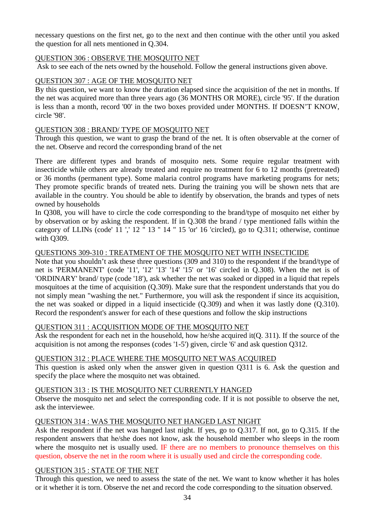necessary questions on the first net, go to the next and then continue with the other until you asked the question for all nets mentioned in Q.304.

#### QUESTION 306 : OBSERVE THE MOSQUITO NET

Ask to see each of the nets owned by the household. Follow the general instructions given above.

#### QUESTION 307 : AGE OF THE MOSQUITO NET

By this question, we want to know the duration elapsed since the acquisition of the net in months. If the net was acquired more than three years ago (36 MONTHS OR MORE), circle '95'. If the duration is less than a month, record '00' in the two boxes provided under MONTHS. If DOESN'T KNOW, circle '98'.

#### QUESTION 308 : BRAND/ TYPE OF MOSQUITO NET

Through this question, we want to grasp the brand of the net. It is often observable at the corner of the net. Observe and record the corresponding brand of the net

There are different types and brands of mosquito nets. Some require regular treatment with insecticide while others are already treated and require no treatment for 6 to 12 months (pretreated) or 36 months (permanent type). Some malaria control programs have marketing programs for nets; They promote specific brands of treated nets. During the training you will be shown nets that are available in the country. You should be able to identify by observation, the brands and types of nets owned by households

In Q308, you will have to circle the code corresponding to the brand/type of mosquito net either by by observation or by asking the respondent. If in Q.308 the brand / type mentioned falls within the category of LLINs (code' 11 ',' 12 '' 13 '' 14 '' 15 'or' 16 'circled), go to Q.311; otherwise, continue with Q309.

#### QUESTIONS 309-310 : TREATMENT OF THE MOSQUITO NET WITH INSECTICIDE

Note that you shouldn't ask these three questions (309 and 310) to the respondent if the brand/type of net is 'PERMANENT' (code '11', '12' '13' '14' '15' or '16' circled in Q.308). When the net is of 'ORDINARY' brand/ type (code '18'), ask whether the net was soaked or dipped in a liquid that repels mosquitoes at the time of acquisition (Q.309). Make sure that the respondent understands that you do not simply mean "washing the net." Furthermore, you will ask the respondent if since its acquisition, the net was soaked or dipped in a liquid insecticide (Q.309) and when it was lastly done (Q.310). Record the respondent's answer for each of these questions and follow the skip instructions

#### QUESTION 311 : ACQUISITION MODE OF THE MOSQUITO NET

Ask the respondent for each net in the household, how he/she acquired it(Q. 311). If the source of the acquisition is not among the responses (codes '1-5') given, circle '6' and ask question Q312.

#### QUESTION 312 : PLACE WHERE THE MOSQUITO NET WAS ACQUIRED

This question is asked only when the answer given in question Q311 is 6. Ask the question and specify the place where the mosquito net was obtained.

#### QUESTION 313 : IS THE MOSQUITO NET CURRENTLY HANGED

Observe the mosquito net and select the corresponding code. If it is not possible to observe the net, ask the interviewee.

#### QUESTION 314 : WAS THE MOSQUITO NET HANGED LAST NIGHT

Ask the respondent if the net was hanged last night. If yes, go to Q.317. If not, go to Q.315. If the respondent answers that he/she does not know, ask the household member who sleeps in the room where the mosquito net is usually used. IF there are no members to pronounce themselves on this question, observe the net in the room where it is usually used and circle the corresponding code.

#### QUESTION 315 : STATE OF THE NET

Through this question, we need to assess the state of the net. We want to know whether it has holes or it whether it is torn. Observe the net and record the code corresponding to the situation observed.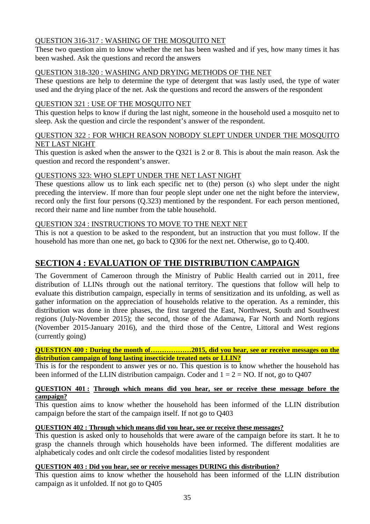# QUESTION 316-317 : WASHING OF THE MOSQUITO NET

These two question aim to know whether the net has been washed and if yes, how many times it has been washed. Ask the questions and record the answers

#### QUESTION 318-320 : WASHING AND DRYING METHODS OF THE NET

These questions are help to determine the type of detergent that was lastly used, the type of water used and the drying place of the net. Ask the questions and record the answers of the respondent

#### QUESTION 321 : USE OF THE MOSQUITO NET

This question helps to know if during the last night, someone in the household used a mosquito net to sleep. Ask the question and circle the respondent's answer of the respondent.

#### QUESTION 322 : FOR WHICH REASON NOBODY SLEPT UNDER UNDER THE MOSQUITO NET LAST NIGHT

This question is asked when the answer to the Q321 is 2 or 8. This is about the main reason. Ask the question and record the respondent's answer.

# QUESTIONS 323: WHO SLEPT UNDER THE NET LAST NIGHT

These questions allow us to link each specific net to (the) person (s) who slept under the night preceding the interview. If more than four people slept under one net the night before the interview, record only the first four persons (Q.323) mentioned by the respondent. For each person mentioned, record their name and line number from the table household.

#### QUESTION 324 : INSTRUCTIONS TO MOVE TO THE NEXT NET

This is not a question to be asked to the respondent, but an instruction that you must follow. If the household has more than one net, go back to Q306 for the next net. Otherwise, go to Q.400.

# **SECTION 4 : EVALUATION OF THE DISTRIBUTION CAMPAIGN**

The Government of Cameroon through the Ministry of Public Health carried out in 2011, free distribution of LLINs through out the national territory. The questions that follow will help to evaluate this distribution campaign, especially in terms of sensitization and its unfolding, as well as gather information on the appreciation of households relative to the operation. As a reminder, this distribution was done in three phases, the first targeted the East, Northwest, South and Southwest regions (July-November 2015); the second, those of the Adamawa, Far North and North regions (November 2015-January 2016), and the third those of the Centre, Littoral and West regions (currently going)

**QUESTION 400 : During the month of………………2015, did you hear, see or receive messages on the distribution campaign of long lasting insecticide treated nets or LLIN?**

This is for the respondent to answer yes or no. This question is to know whether the household has been informed of the LLIN distribution campaign. Coder and  $1 = 2 = NO$ . If not, go to Q407

#### **QUESTION 401 : Through which means did you hear, see or receive these message before the campaign?**

This question aims to know whether the household has been informed of the LLIN distribution campaign before the start of the campaign itself. If not go to Q403

#### **QUESTION 402 : Through which means did you hear, see or receive these messages?**

This question is asked only to households that were aware of the campaign before its start. It he to grasp the channels through which households have been informed. The different modalities are alphabeticaly codes and onlt circle the codesof modalities listed by respondent

#### **QUESTION 403 : Did you hear, see or receive messages DURING this distribution?**

This question aims to know whether the household has been informed of the LLIN distribution campaign as it unfolded. If not go to Q405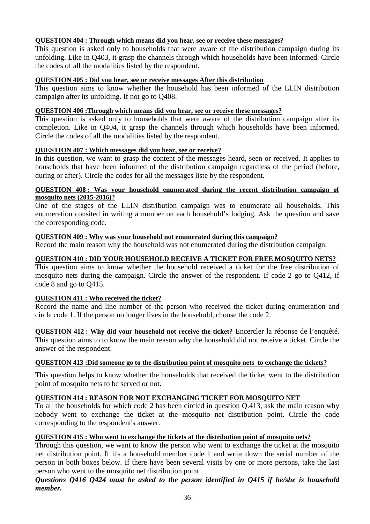#### **QUESTION 404 : Through which means did you hear, see or receive these messages?**

This question is asked only to households that were aware of the distribution campaign during its unfolding. Like in Q403, it grasp the channels through which households have been informed. Circle the codes of all the modalities listed by the respondent.

#### **QUESTION 405 : Did you hear, see or receive messages After this distribution**

This question aims to know whether the household has been informed of the LLIN distribution campaign after its unfolding. If not go to Q408.

#### **QUESTION 406 :Through which means did you hear, see or receive these messages?**

This question is asked only to households that were aware of the distribution campaign after its completion. Like in Q404, it grasp the channels through which households have been informed. Circle the codes of all the modalities listed by the respondent.

#### **QUESTION 407 : Which messages did you hear, see or receive?**

In this question, we want to grasp the content of the messages heard, seen or received. It applies to households that have been informed of the distribution campaign regardless of the period (before, during or after). Circle the codes for all the messages liste by the respondent.

#### **QUESTION 408 : Was your household enumerated during the recent distribution campaign of mosquito nets (2015-2016)?**

One of the stages of the LLIN distribution campaign was to enumerate all households. This enumeration consited in writing a number on each household's lodging. Ask the question and save the corresponding code.

#### **QUESTION 409 : Why was your household not enumerated during this campaign?**

Record the main reason why the household was not enumerated during the distribution campaign.

#### **QUESTION 410 : DID YOUR HOUSEHOLD RECEIVE A TICKET FOR FREE MOSQUITO NETS?**

This question aims to know whether the household received a ticket for the free distribution of mosquito nets during the campaign. Circle the answer of the respondent. If code 2 go to Q412, if code 8 and go to Q415.

#### **QUESTION 411 : Who received the ticket?**

Record the name and line number of the person who received the ticket during enumeration and circle code 1. If the person no longer lives in the household, choose the code 2.

**QUESTION 412 : Why did your household not receive the ticket?** Encercler la réponse de l'enquêté. This question aims to to know the main reason why the household did not receive a ticket. Circle the answer of the respondent.

#### **QUESTION 413 :Did someone go to the distribution point of mosquito nets to exchange the tickets?**

This question helps to know whether the households that received the ticket went to the distribution point of mosquito nets to be served or not.

#### **QUESTION 414 : REASON FOR NOT EXCHANGING TICKET FOR MOSQUITO NET**

To all the households for which code 2 has been circled in question Q.413, ask the main reason why nobody went to exchange the ticket at the mosquito net distribution point. Circle the code corresponding to the respondent's answer.

#### **QUESTION 415 : Who went to exchange the tickets at the distribution point of mosquito nets?**

Through this question, we want to know the person who went to exchange the ticket at the mosquito net distribution point. If it's a household member code 1 and write down the serial number of the person in both boxes below. If there have been several visits by one or more persons, take the last person who went to the mosquito net distribution point.

#### *Questions Q416 Q424 must be asked to the person identified in Q415 if he/she is household member.*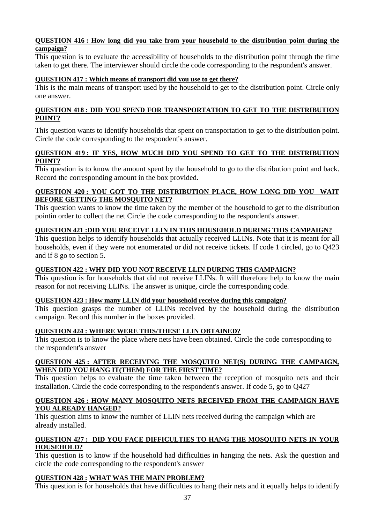#### **QUESTION 416 : How long did you take from your household to the distribution point during the campaign?**

This question is to evaluate the accessibility of households to the distribution point through the time taken to get there. The interviewer should circle the code corresponding to the respondent's answer.

#### **QUESTION 417 : Which means of transport did you use to get there?**

This is the main means of transport used by the household to get to the distribution point. Circle only one answer.

#### **QUESTION 418 : DID YOU SPEND FOR TRANSPORTATION TO GET TO THE DISTRIBUTION POINT?**

This question wants to identify households that spent on transportation to get to the distribution point. Circle the code corresponding to the respondent's answer.

#### **QUESTION 419 : IF YES, HOW MUCH DID YOU SPEND TO GET TO THE DISTRIBUTION POINT?**

This question is to know the amount spent by the household to go to the distribution point and back. Record the corresponding amount in the box provided.

#### **QUESTION 420 : YOU GOT TO THE DISTRIBUTION PLACE, HOW LONG DID YOU WAIT BEFORE GETTING THE MOSQUITO NET?**

This question wants to know the time taken by the member of the household to get to the distribution pointin order to collect the net Circle the code corresponding to the respondent's answer.

#### **QUESTION 421 :DID YOU RECEIVE LLIN IN THIS HOUSEHOLD DURING THIS CAMPAIGN?**

This question helps to identify households that actually received LLINs. Note that it is meant for all households, even if they were not enumerated or did not receive tickets. If code 1 circled, go to Q423 and if 8 go to section 5.

#### **QUESTION 422 : WHY DID YOU NOT RECEIVE LLIN DURING THIS CAMPAIGN?**

This question is for households that did not receive LLINs. It will therefore help to know the main reason for not receiving LLINs. The answer is unique, circle the corresponding code.

#### **QUESTION 423 : How many LLIN did your household receive during this campaign?**

This question grasps the number of LLINs received by the household during the distribution campaign. Record this number in the boxes provided.

#### **QUESTION 424 : WHERE WERE THIS/THESE LLIN OBTAINED?**

This question is to know the place where nets have been obtained. Circle the code corresponding to the respondent's answer

#### **QUESTION 425 : AFTER RECEIVING THE MOSQUITO NET(S) DURING THE CAMPAIGN, WHEN DID YOU HANG IT(THEM) FOR THE FIRST TIME?**

This question helps to evaluate the time taken between the reception of mosquito nets and their installation. Circle the code corresponding to the respondent's answer. If code 5, go to Q427

#### **QUESTION 426 : HOW MANY MOSQUITO NETS RECEIVED FROM THE CAMPAIGN HAVE YOU ALREADY HANGED?**

This question aims to know the number of LLIN nets received during the campaign which are already installed.

#### **QUESTION 427 : DID YOU FACE DIFFICULTIES TO HANG THE MOSQUITO NETS IN YOUR HOUSEHOLD?**

This question is to know if the household had difficulties in hanging the nets. Ask the question and circle the code corresponding to the respondent's answer

#### **QUESTION 428 : WHAT WAS THE MAIN PROBLEM?**

This question is for households that have difficulties to hang their nets and it equally helps to identify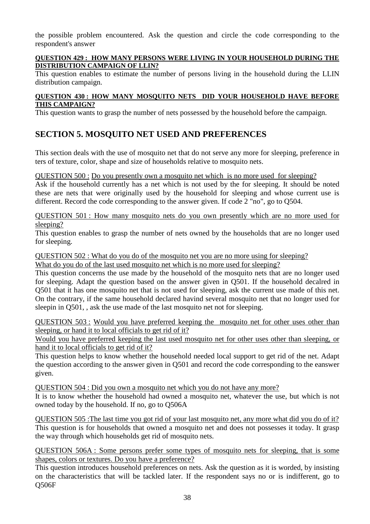the possible problem encountered. Ask the question and circle the code corresponding to the respondent's answer

#### **QUESTION 429 : HOW MANY PERSONS WERE LIVING IN YOUR HOUSEHOLD DURING THE DISTRIBUTION CAMPAIGN OF LLIN?**

This question enables to estimate the number of persons living in the household during the LLIN distribution campaign.

#### **QUESTION 430 : HOW MANY MOSQUITO NETS DID YOUR HOUSEHOLD HAVE BEFORE THIS CAMPAIGN?**

This question wants to grasp the number of nets possessed by the household before the campaign.

# **SECTION 5. MOSQUITO NET USED AND PREFERENCES**

This section deals with the use of mosquito net that do not serve any more for sleeping, preference in ters of texture, color, shape and size of households relative to mosquito nets.

QUESTION 500 : Do you presently own a mosquito net which is no more used for sleeping?

Ask if the household currently has a net which is not used by the for sleeping. It should be noted these are nets that were originally used by the household for sleeping and whose current use is different. Record the code corresponding to the answer given. If code 2 "no", go to Q504.

QUESTION 501 : How many mosquito nets do you own presently which are no more used for sleeping?

This question enables to grasp the number of nets owned by the households that are no longer used for sleeping.

#### QUESTION 502 : What do you do of the mosquito net you are no more using for sleeping?

What do you do of the last used mosquito net which is no more used for sleeping?

This question concerns the use made by the household of the mosquito nets that are no longer used for sleeping. Adapt the question based on the answer given in Q501. If the household decalred in Q501 that it has one mosquito net that is not used for sleeping, ask the current use made of this net. On the contrary, if the same household declared havind several mosquito net that no longer used for sleepin in Q501, , ask the use made of the last mosquito net not for sleeping.

QUESTION 503 : Would you have preferred keeping the mosquito net for other uses other than sleeping, or hand it to local officials to get rid of it?

Would you have preferred keeping the last used mosquito net for other uses other than sleeping, or hand it to local officials to get rid of it?

This question helps to know whether the household needed local support to get rid of the net. Adapt the question according to the answer given in Q501 and record the code corresponding to the eanswer given.

QUESTION 504 : Did you own a mosquito net which you do not have any more?

It is to know whether the household had owned a mosquito net, whatever the use, but which is not owned today by the household. If no, go to Q506A

QUESTION 505 :The last time you got rid of your last mosquito net, any more what did you do of it? This question is for households that owned a mosquito net and does not possesses it today. It grasp the way through which households get rid of mosquito nets.

QUESTION 506A : Some persons prefer some types of mosquito nets for sleeping, that is some shapes, colors or textures. Do you have a preference?

This question introduces household preferences on nets. Ask the question as it is worded, by insisting on the characteristics that will be tackled later. If the respondent says no or is indifferent, go to Q506F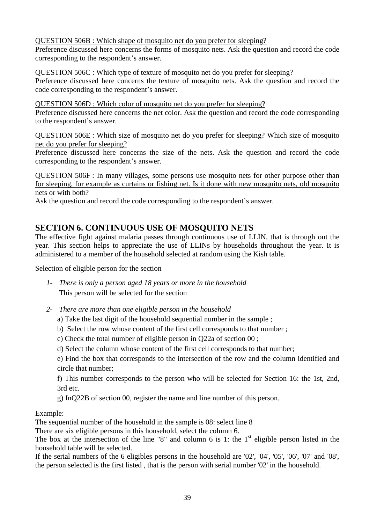QUESTION 506B : Which shape of mosquito net do you prefer for sleeping?

Preference discussed here concerns the forms of mosquito nets. Ask the question and record the code corresponding to the respondent's answer.

QUESTION 506C : Which type of texture of mosquito net do you prefer for sleeping?

Preference discussed here concerns the texture of mosquito nets. Ask the question and record the code corresponding to the respondent's answer.

### QUESTION 506D : Which color of mosquito net do you prefer for sleeping?

Preference discussed here concerns the net color. Ask the question and record the code corresponding to the respondent's answer.

QUESTION 506E : Which size of mosquito net do you prefer for sleeping? Which size of mosquito net do you prefer for sleeping?

Preference discussed here concerns the size of the nets. Ask the question and record the code corresponding to the respondent's answer.

QUESTION 506F : In many villages, some persons use mosquito nets for other purpose other than for sleeping, for example as curtains or fishing net. Is it done with new mosquito nets, old mosquito nets or with both?

Ask the question and record the code corresponding to the respondent's answer.

# **SECTION 6. CONTINUOUS USE OF MOSQUITO NETS**

The effective fight against malaria passes through continuous use of LLIN, that is through out the year. This section helps to appreciate the use of LLINs by households throughout the year. It is administered to a member of the household selected at random using the Kish table.

Selection of eligible person for the section

- *1- There is only a person aged 18 years or more in the household* This person will be selected for the section
- *2- There are more than one eligible person in the household*
	- a) Take the last digit of the household sequential number in the sample ;
	- b) Select the row whose content of the first cell corresponds to that number ;
	- c) Check the total number of eligible person in Q22a of section 00 ;
	- d) Select the column whose content of the first cell corresponds to that number;

e) Find the box that corresponds to the intersection of the row and the column identified and circle that number;

f) This number corresponds to the person who will be selected for Section 16: the 1st, 2nd, 3rd etc.

g) InQ22B of section 00, register the name and line number of this person.

#### Example:

The sequential number of the household in the sample is 08: select line 8

There are six eligible persons in this household, select the column 6.

The box at the intersection of the line "8" and column 6 is 1: the  $1<sup>st</sup>$  eligible person listed in the household table will be selected.

If the serial numbers of the 6 eligibles persons in the household are '02', '04', '05', '06', '07' and '08', the person selected is the first listed , that is the person with serial number '02' in the household.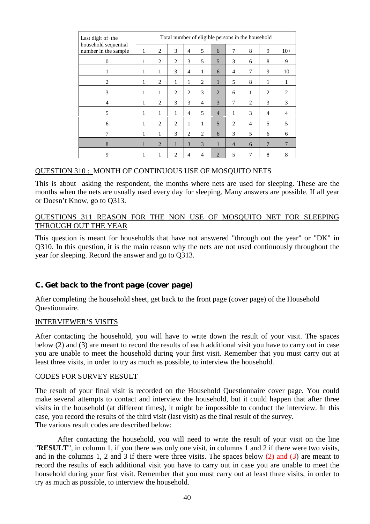| Last digit of the                            | Total number of eligible persons in the household |   |                |                |                |                |                |                |                |                |  |
|----------------------------------------------|---------------------------------------------------|---|----------------|----------------|----------------|----------------|----------------|----------------|----------------|----------------|--|
| household sequential<br>number in the sample | 1                                                 | 2 | 3              | $\overline{4}$ | 5              | 6              | 7              | 8              | 9              | $10+$          |  |
| $\Omega$                                     | 1                                                 | 2 | 2              | 3              | 5              | 5              | 3              | 6              | 8              | 9              |  |
|                                              | 1                                                 | 1 | 3              | $\overline{4}$ | 1              | 6              | $\overline{4}$ | $\overline{7}$ | 9              | 10             |  |
| 2                                            | 1                                                 | 2 | 1              | 1              | $\overline{c}$ | 1              | 5              | 8              | 1              | 1              |  |
| 3                                            | 1                                                 | 1 | 2              | 2              | 3              | 2              | 6              | 1              | 2              | 2              |  |
| $\overline{4}$                               | 1                                                 | 2 | 3              | 3              | $\overline{4}$ | 3              | 7              | 2              | 3              | 3              |  |
| 5                                            | 1                                                 | 1 | 1              | $\overline{4}$ | 5              | $\overline{4}$ | 1              | 3              | $\overline{4}$ | $\overline{4}$ |  |
| 6                                            | 1                                                 | 2 | $\overline{c}$ | 1              | 1              | 5              | 2              | $\overline{4}$ | 5              | 5              |  |
| 7                                            | 1                                                 | 1 | 3              | $\overline{c}$ | 2              | 6              | 3              | 5              | 6              | 6              |  |
| 8                                            | 1                                                 | 2 | 1              | 3              | 3              | 1              | $\overline{4}$ | 6              | 7              | $\overline{7}$ |  |
| 9                                            | 1                                                 | 1 | $\mathfrak{D}$ | $\overline{4}$ | 4              | $\overline{2}$ | 5              | 7              | 8              | 8              |  |

#### QUESTION 310 : MONTH OF CONTINUOUS USE OF MOSQUITO NETS

This is about asking the respondent, the months where nets are used for sleeping. These are the months when the nets are usually used every day for sleeping. Many answers are possible. If all year or Doesn't Know, go to Q313.

#### QUESTIONS 311 REASON FOR THE NON USE OF MOSQUITO NET FOR SLEEPING THROUGH OUT THE YEAR

This question is meant for households that have not answered "through out the year" or "DK" in Q310. In this question, it is the main reason why the nets are not used continuously throughout the year for sleeping. Record the answer and go to Q313.

#### *C. Get back to the front page (cover page)*

After completing the household sheet, get back to the front page (cover page) of the Household Questionnaire.

#### INTERVIEWER'S VISITS

After contacting the household, you will have to write down the result of your visit. The spaces below (2) and (3) are meant to record the results of each additional visit you have to carry out in case you are unable to meet the household during your first visit. Remember that you must carry out at least three visits, in order to try as much as possible, to interview the household.

#### CODES FOR SURVEY RESULT

The result of your final visit is recorded on the Household Questionnaire cover page. You could make several attempts to contact and interview the household, but it could happen that after three visits in the household (at different times), it might be impossible to conduct the interview. In this case, you record the results of the third visit (last visit) as the final result of the survey. The various result codes are described below:

After contacting the household, you will need to write the result of your visit on the line "**RESULT**", in column 1, if you there was only one visit, in columns 1 and 2 if there were two visits, and in the columns 1, 2 and 3 if there were three visits. The spaces below (2) and (3) are meant to record the results of each additional visit you have to carry out in case you are unable to meet the household during your first visit. Remember that you must carry out at least three visits, in order to try as much as possible, to interview the household.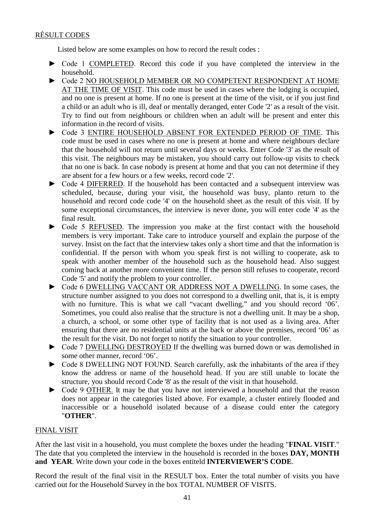# RÉSULT CODES

Listed below are some examples on how to record the result codes :

- ► Code 1 COMPLETED. Record this code if you have completed the interview in the household.
- ► Code 2 NO HOUSEHOLD MEMBER OR NO COMPETENT RESPONDENT AT HOME AT THE TIME OF VISIT. This code must be used in cases where the lodging is occupied, and no one is present at home. If no one is present at the time of the visit, or if you just find a child or an adult who is ill, deaf or mentally deranged, enter Code '2' as a result of the visit. Try to find out from neighbours or children when an adult will be present and enter this information in the record of visits.
- ► Code 3 ENTIRE HOUSEHOLD ABSENT FOR EXTENDED PERIOD OF TIME. This code must be used in cases where no one is present at home and where neighbours declare that the household will not return until several days or weeks. Enter Code '3' as the result of this visit. The neighbours may be mistaken, you should carry out follow-up visits to check that no one is back. In case nobody is present at home and that you can not determine if they are absent for a few hours or a few weeks, record code '2'.
- ► Code 4 DIFERRED. If the household has been contacted and a subsequent interview was scheduled, because, during your visit, the household was busy, planto return to the household and record code code '4' on the household sheet as the result of this visit. If by some exceptional circumstances, the interview is never done, you will enter code '4' as the final result.
- ► Code 5 REFUSED. The impression you make at the first contact with the household members is very important. Take care to introduce yourself and explain the purpose of the survey. Insist on the fact that the interview takes only a short time and that the information is confidential. If the person with whom you speak first is not willing to cooperate, ask to speak with another member of the household such as the household head. Also suggest coming back at another more convenient time. If the person still refuses to cooperate, record Code '5' and notify the problem to your controller.
- ► Code 6 DWELLING VACCANT OR ADDRESS NOT A DWELLING. In some cases, the structure number assigned to you does not correspond to a dwelling unit, that is, it is empty with no furniture. This is what we call "vacant dwelling," and you should record '06'. Sometimes, you could also realise that the structure is not a dwelling unit. It may be a shop, a church, a school, or some other type of facility that is not used as a living area. After ensuring that there are no residential units at the back or above the premises, record '06' as the result for the visit. Do not forget to notify the situation to your controller.
- ► Code 7 DWELLING DESTROYED If the dwelling was burned down or was demolished in some other manner, record '06'.
- ► Code 8 DWELLING NOT FOUND. Search carefully, ask the inhabitants of the area if they know the address or name of the household head. If you are still unable to locate the structure, you should record Code '8' as the result of the visit in that household.
- ► Code 9 OTHER. It may be that you have not interviewed a household and that the reason does not appear in the categories listed above. For example, a cluster entirely flooded and inaccessible or a household isolated because of a disease could enter the category "**OTHER**".

# FINAL VISIT

After the last visit in a household, you must complete the boxes under the heading "**FINAL VISIT**." The date that you completed the interview in the household is recorded in the boxes **DAY, MONTH and YEAR**. Write down your code in the boxes entiteld **INTERVIEWER'S CODE**.

Record the result of the final visit in the RESULT box. Enter the total number of visits you have carried out for the Household Survey in the box TOTAL NUMBER OF VISITS.